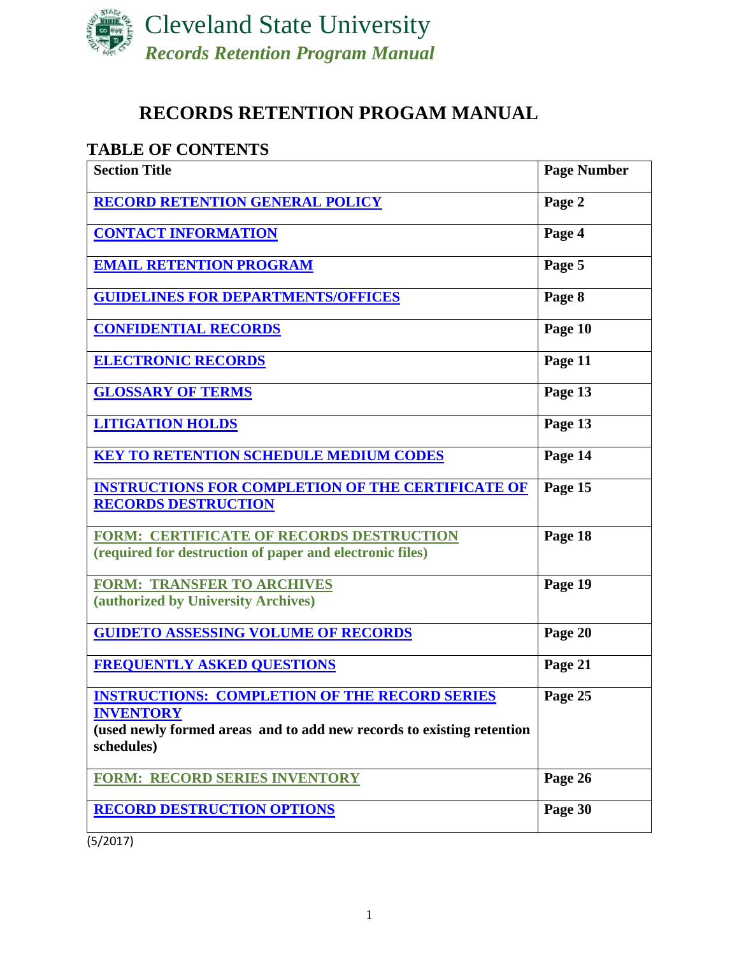

# **RECORDS RETENTION PROGAM MANUAL**

# **TABLE OF CONTENTS**

| <b>Section Title</b>                                                                                                                                            | <b>Page Number</b> |
|-----------------------------------------------------------------------------------------------------------------------------------------------------------------|--------------------|
| <b>RECORD RETENTION GENERAL POLICY</b>                                                                                                                          | Page 2             |
| <b>CONTACT INFORMATION</b>                                                                                                                                      | Page 4             |
| <b>EMAIL RETENTION PROGRAM</b>                                                                                                                                  | Page 5             |
| <b>GUIDELINES FOR DEPARTMENTS/OFFICES</b>                                                                                                                       | Page 8             |
| <b>CONFIDENTIAL RECORDS</b>                                                                                                                                     | Page 10            |
| <b>ELECTRONIC RECORDS</b>                                                                                                                                       | Page 11            |
| <b>GLOSSARY OF TERMS</b>                                                                                                                                        | Page 13            |
| <b>LITIGATION HOLDS</b>                                                                                                                                         | Page 13            |
| <b>KEY TO RETENTION SCHEDULE MEDIUM CODES</b>                                                                                                                   | Page 14            |
| <b>INSTRUCTIONS FOR COMPLETION OF THE CERTIFICATE OF</b><br><b>RECORDS DESTRUCTION</b>                                                                          | Page 15            |
| <b>FORM: CERTIFICATE OF RECORDS DESTRUCTION</b><br>(required for destruction of paper and electronic files)                                                     | Page 18            |
| <b>FORM: TRANSFER TO ARCHIVES</b><br>(authorized by University Archives)                                                                                        | Page 19            |
| <b>GUIDETO ASSESSING VOLUME OF RECORDS</b>                                                                                                                      | Page 20            |
| <b>FREQUENTLY ASKED QUESTIONS</b>                                                                                                                               | Page 21            |
| <b>INSTRUCTIONS: COMPLETION OF THE RECORD SERIES</b><br><b>INVENTORY</b><br>(used newly formed areas and to add new records to existing retention<br>schedules) | Page 25            |
| <b>FORM: RECORD SERIES INVENTORY</b>                                                                                                                            | Page 26            |
| <b>RECORD DESTRUCTION OPTIONS</b>                                                                                                                               | Page 30            |

(5/2017)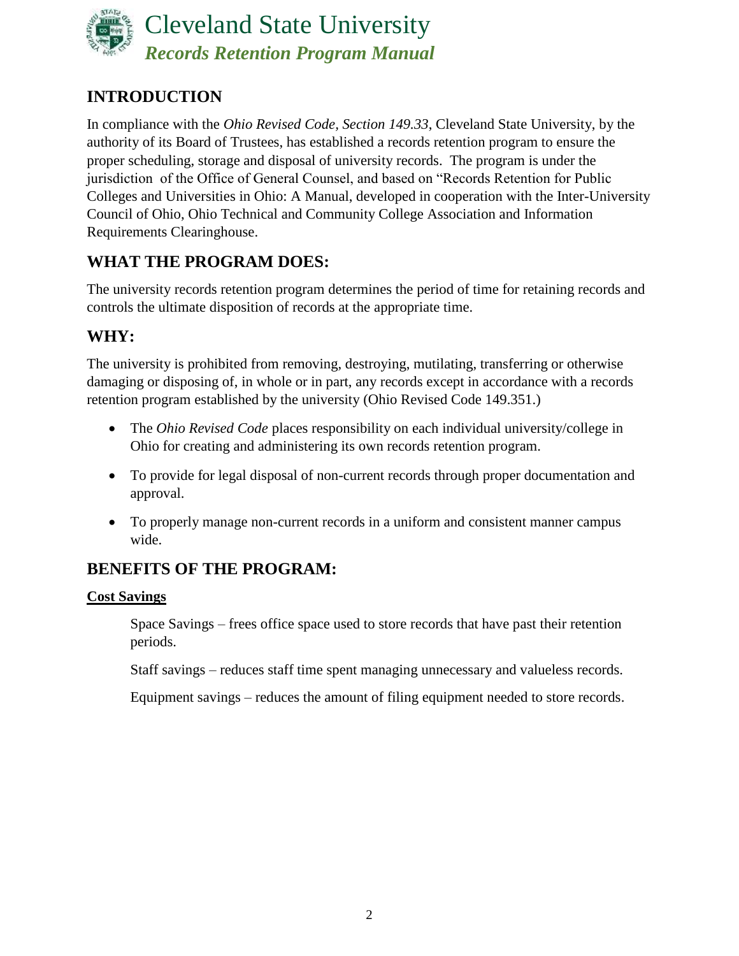

# <span id="page-1-0"></span>**INTRODUCTION**

In compliance with the *Ohio Revised Code, Section 149.33*, Cleveland State University, by the authority of its Board of Trustees, has established a records retention program to ensure the proper scheduling, storage and disposal of university records. The program is under the jurisdiction of the Office of General Counsel, and based on "Records Retention for Public Colleges and Universities in Ohio: A Manual, developed in cooperation with the Inter-University Council of Ohio, Ohio Technical and Community College Association and Information Requirements Clearinghouse.

# **WHAT THE PROGRAM DOES:**

The university records retention program determines the period of time for retaining records and controls the ultimate disposition of records at the appropriate time.

# **WHY:**

The university is prohibited from removing, destroying, mutilating, transferring or otherwise damaging or disposing of, in whole or in part, any records except in accordance with a records retention program established by the university (Ohio Revised Code 149.351.)

- The *Ohio Revised Code* places responsibility on each individual university/college in Ohio for creating and administering its own records retention program.
- To provide for legal disposal of non-current records through proper documentation and approval.
- To properly manage non-current records in a uniform and consistent manner campus wide.

# **BENEFITS OF THE PROGRAM:**

## **Cost Savings**

Space Savings – frees office space used to store records that have past their retention periods.

Staff savings – reduces staff time spent managing unnecessary and valueless records.

Equipment savings – reduces the amount of filing equipment needed to store records.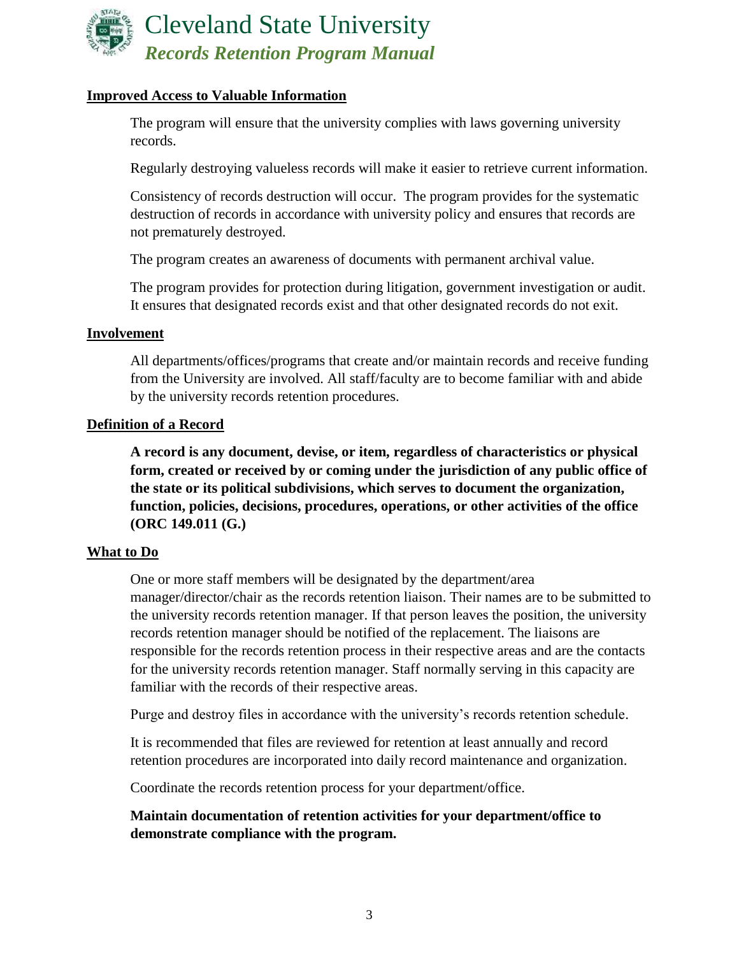

### **Improved Access to Valuable Information**

The program will ensure that the university complies with laws governing university records.

Regularly destroying valueless records will make it easier to retrieve current information.

Consistency of records destruction will occur. The program provides for the systematic destruction of records in accordance with university policy and ensures that records are not prematurely destroyed.

The program creates an awareness of documents with permanent archival value.

The program provides for protection during litigation, government investigation or audit. It ensures that designated records exist and that other designated records do not exit.

#### **Involvement**

All departments/offices/programs that create and/or maintain records and receive funding from the University are involved. All staff/faculty are to become familiar with and abide by the university records retention procedures.

#### **Definition of a Record**

**A record is any document, devise, or item, regardless of characteristics or physical form, created or received by or coming under the jurisdiction of any public office of the state or its political subdivisions, which serves to document the organization, function, policies, decisions, procedures, operations, or other activities of the office (ORC 149.011 (G.)**

#### **What to Do**

One or more staff members will be designated by the department/area manager/director/chair as the records retention liaison. Their names are to be submitted to the university records retention manager. If that person leaves the position, the university records retention manager should be notified of the replacement. The liaisons are responsible for the records retention process in their respective areas and are the contacts for the university records retention manager. Staff normally serving in this capacity are familiar with the records of their respective areas.

Purge and destroy files in accordance with the university's records retention schedule.

It is recommended that files are reviewed for retention at least annually and record retention procedures are incorporated into daily record maintenance and organization.

Coordinate the records retention process for your department/office.

### **Maintain documentation of retention activities for your department/office to demonstrate compliance with the program.**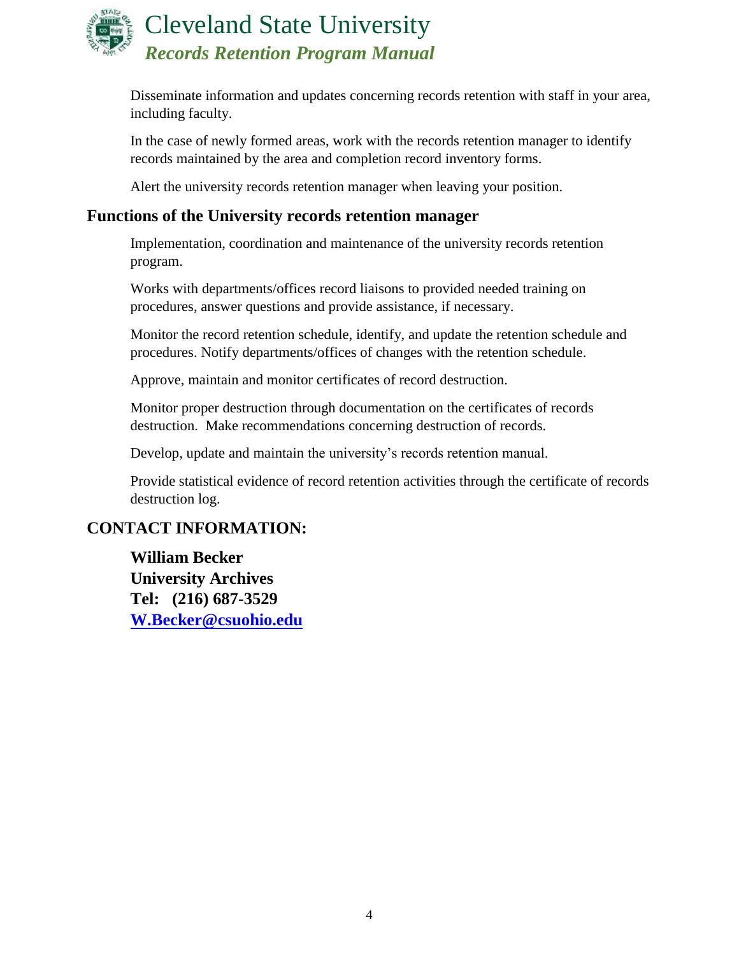

Disseminate information and updates concerning records retention with staff in your area, including faculty.

In the case of newly formed areas, work with the records retention manager to identify records maintained by the area and completion record inventory forms.

Alert the university records retention manager when leaving your position.

## **Functions of the University records retention manager**

Implementation, coordination and maintenance of the university records retention program.

Works with departments/offices record liaisons to provided needed training on procedures, answer questions and provide assistance, if necessary.

Monitor the record retention schedule, identify, and update the retention schedule and procedures. Notify departments/offices of changes with the retention schedule.

Approve, maintain and monitor certificates of record destruction.

Monitor proper destruction through documentation on the certificates of records destruction. Make recommendations concerning destruction of records.

Develop, update and maintain the university's records retention manual.

Provide statistical evidence of record retention activities through the certificate of records destruction log.

## <span id="page-3-0"></span>**CONTACT INFORMATION:**

**William Becker University Archives Tel: (216) 687-3529 [W.Becker@csuohio.edu](mailto:W.Becker@csuohio.edu)**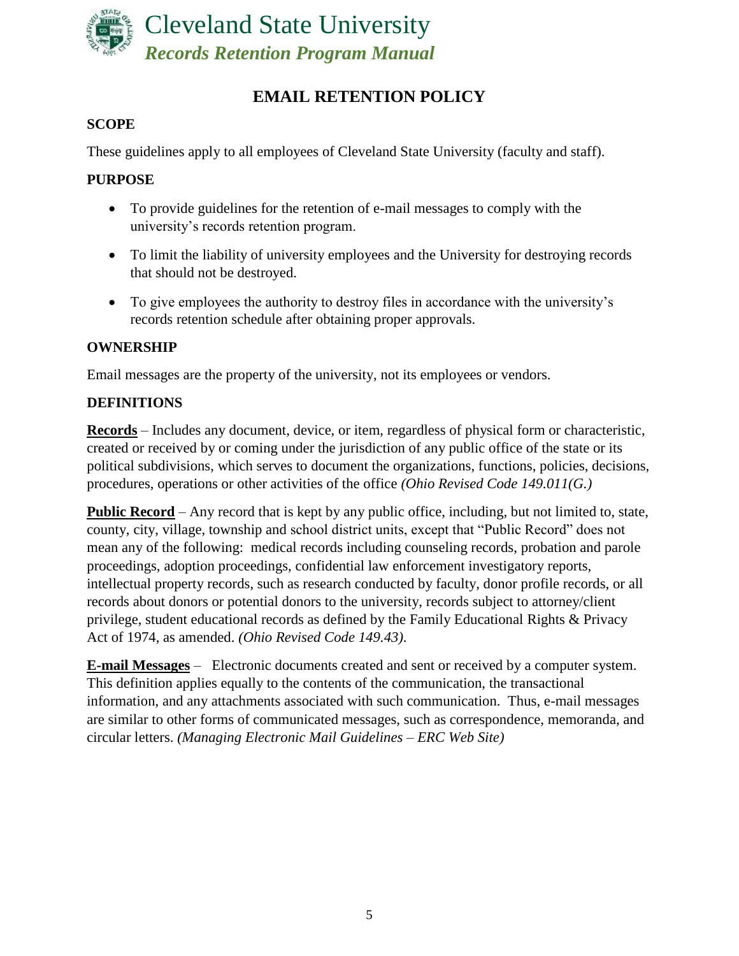

# **EMAIL RETENTION POLICY**

## <span id="page-4-0"></span>**SCOPE**

These guidelines apply to all employees of Cleveland State University (faculty and staff).

### **PURPOSE**

- To provide guidelines for the retention of e-mail messages to comply with the university's records retention program.
- To limit the liability of university employees and the University for destroying records that should not be destroyed.
- To give employees the authority to destroy files in accordance with the university's records retention schedule after obtaining proper approvals.

## **OWNERSHIP**

Email messages are the property of the university, not its employees or vendors.

## **DEFINITIONS**

**Records** – Includes any document, device, or item, regardless of physical form or characteristic, created or received by or coming under the jurisdiction of any public office of the state or its political subdivisions, which serves to document the organizations, functions, policies, decisions, procedures, operations or other activities of the office *(Ohio Revised Code 149.011(G.)*

**Public Record** – Any record that is kept by any public office, including, but not limited to, state, county, city, village, township and school district units, except that "Public Record" does not mean any of the following: medical records including counseling records, probation and parole proceedings, adoption proceedings, confidential law enforcement investigatory reports, intellectual property records, such as research conducted by faculty, donor profile records, or all records about donors or potential donors to the university, records subject to attorney/client privilege, student educational records as defined by the Family Educational Rights & Privacy Act of 1974, as amended. *(Ohio Revised Code 149.43)*.

**E-mail Messages** – Electronic documents created and sent or received by a computer system. This definition applies equally to the contents of the communication, the transactional information, and any attachments associated with such communication. Thus, e-mail messages are similar to other forms of communicated messages, such as correspondence, memoranda, and circular letters. *(Managing Electronic Mail Guidelines – ERC Web Site)*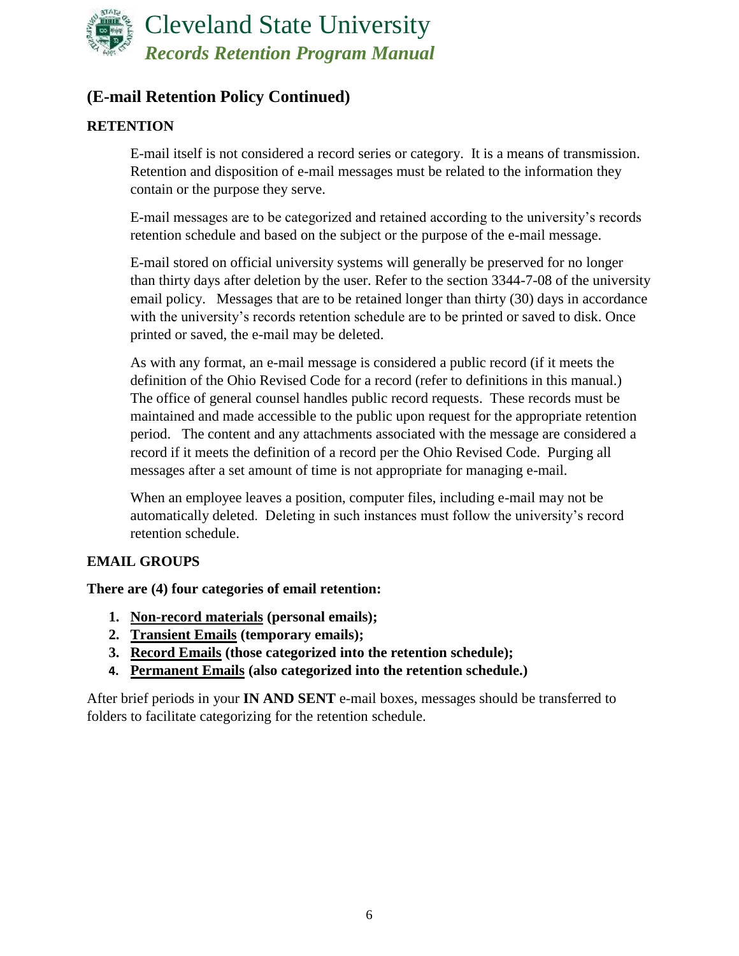

# **(E-mail Retention Policy Continued)**

## **RETENTION**

E-mail itself is not considered a record series or category. It is a means of transmission. Retention and disposition of e-mail messages must be related to the information they contain or the purpose they serve.

E-mail messages are to be categorized and retained according to the university's records retention schedule and based on the subject or the purpose of the e-mail message.

E-mail stored on official university systems will generally be preserved for no longer than thirty days after deletion by the user. Refer to the section 3344-7-08 of the university email policy. Messages that are to be retained longer than thirty (30) days in accordance with the university's records retention schedule are to be printed or saved to disk. Once printed or saved, the e-mail may be deleted.

As with any format, an e-mail message is considered a public record (if it meets the definition of the Ohio Revised Code for a record (refer to definitions in this manual.) The office of general counsel handles public record requests. These records must be maintained and made accessible to the public upon request for the appropriate retention period. The content and any attachments associated with the message are considered a record if it meets the definition of a record per the Ohio Revised Code. Purging all messages after a set amount of time is not appropriate for managing e-mail.

When an employee leaves a position, computer files, including e-mail may not be automatically deleted. Deleting in such instances must follow the university's record retention schedule.

### **EMAIL GROUPS**

### **There are (4) four categories of email retention:**

- **1. Non-record materials (personal emails);**
- **2. Transient Emails (temporary emails);**
- **3. Record Emails (those categorized into the retention schedule);**
- **4. Permanent Emails (also categorized into the retention schedule.)**

After brief periods in your **IN AND SENT** e-mail boxes, messages should be transferred to folders to facilitate categorizing for the retention schedule.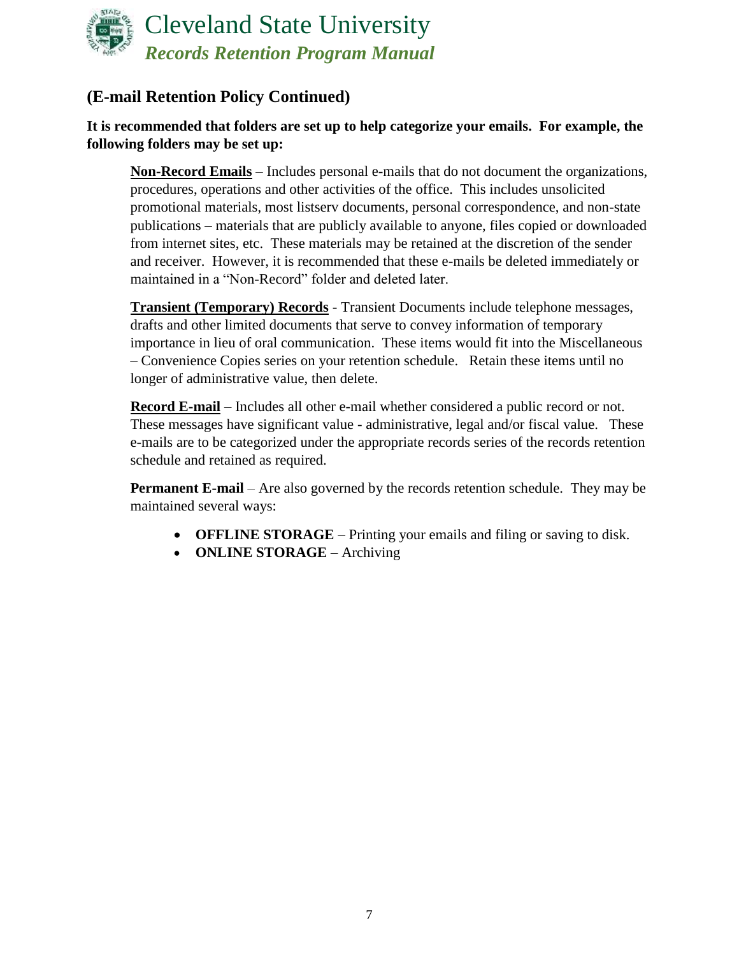

# **(E-mail Retention Policy Continued)**

## **It is recommended that folders are set up to help categorize your emails. For example, the following folders may be set up:**

**Non-Record Emails** – Includes personal e-mails that do not document the organizations, procedures, operations and other activities of the office. This includes unsolicited promotional materials, most listserv documents, personal correspondence, and non-state publications – materials that are publicly available to anyone, files copied or downloaded from internet sites, etc. These materials may be retained at the discretion of the sender and receiver. However, it is recommended that these e-mails be deleted immediately or maintained in a "Non-Record" folder and deleted later.

**Transient (Temporary) Records** - Transient Documents include telephone messages, drafts and other limited documents that serve to convey information of temporary importance in lieu of oral communication. These items would fit into the Miscellaneous – Convenience Copies series on your retention schedule. Retain these items until no longer of administrative value, then delete.

**Record E-mail** – Includes all other e-mail whether considered a public record or not. These messages have significant value - administrative, legal and/or fiscal value. These e-mails are to be categorized under the appropriate records series of the records retention schedule and retained as required.

**Permanent E-mail** – Are also governed by the records retention schedule. They may be maintained several ways:

- **OFFLINE STORAGE** Printing your emails and filing or saving to disk.
- **ONLINE STORAGE** Archiving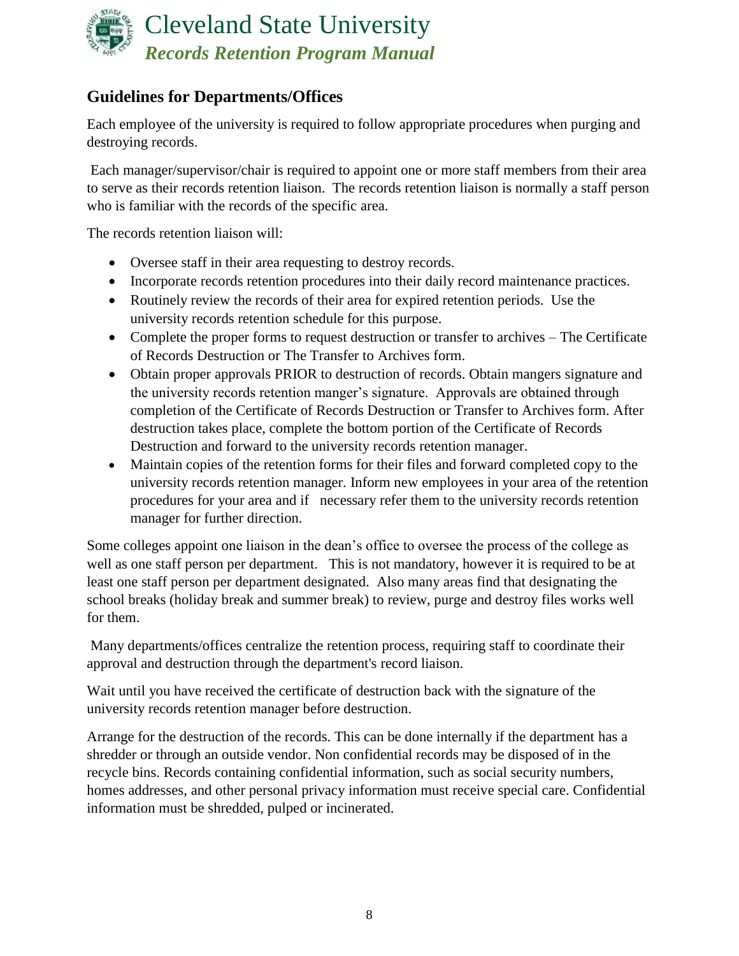

# <span id="page-7-0"></span>**Guidelines for Departments/Offices**

Each employee of the university is required to follow appropriate procedures when purging and destroying records.

Each manager/supervisor/chair is required to appoint one or more staff members from their area to serve as their records retention liaison. The records retention liaison is normally a staff person who is familiar with the records of the specific area.

The records retention liaison will:

- Oversee staff in their area requesting to destroy records.
- Incorporate records retention procedures into their daily record maintenance practices.
- Routinely review the records of their area for expired retention periods. Use the university records retention schedule for this purpose.
- Complete the proper forms to request destruction or transfer to archives The Certificate of Records Destruction or The Transfer to Archives form.
- Obtain proper approvals PRIOR to destruction of records. Obtain mangers signature and the university records retention manger's signature. Approvals are obtained through completion of the Certificate of Records Destruction or Transfer to Archives form. After destruction takes place, complete the bottom portion of the Certificate of Records Destruction and forward to the university records retention manager.
- Maintain copies of the retention forms for their files and forward completed copy to the university records retention manager. Inform new employees in your area of the retention procedures for your area and if necessary refer them to the university records retention manager for further direction.

Some colleges appoint one liaison in the dean's office to oversee the process of the college as well as one staff person per department. This is not mandatory, however it is required to be at least one staff person per department designated. Also many areas find that designating the school breaks (holiday break and summer break) to review, purge and destroy files works well for them.

Many departments/offices centralize the retention process, requiring staff to coordinate their approval and destruction through the department's record liaison.

Wait until you have received the certificate of destruction back with the signature of the university records retention manager before destruction.

Arrange for the destruction of the records. This can be done internally if the department has a shredder or through an outside vendor. Non confidential records may be disposed of in the recycle bins. Records containing confidential information, such as social security numbers, homes addresses, and other personal privacy information must receive special care. Confidential information must be shredded, pulped or incinerated.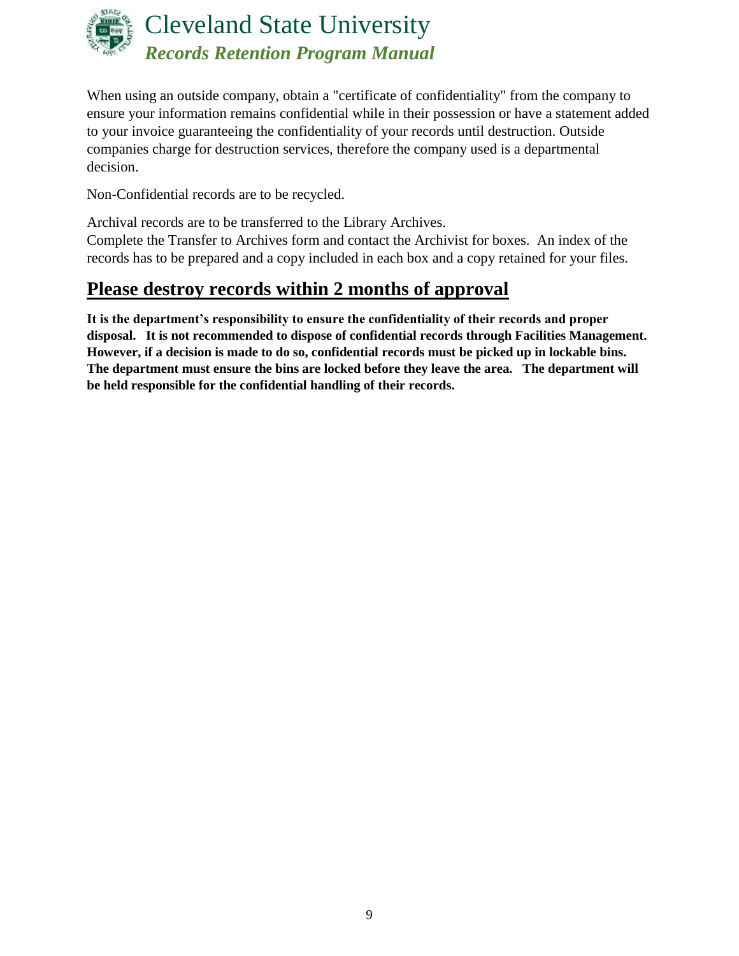

When using an outside company, obtain a "certificate of confidentiality" from the company to ensure your information remains confidential while in their possession or have a statement added to your invoice guaranteeing the confidentiality of your records until destruction. Outside companies charge for destruction services, therefore the company used is a departmental decision.

Non-Confidential records are to be recycled.

Archival records are to be transferred to the Library Archives.

Complete the Transfer to Archives form and contact the Archivist for boxes. An index of the records has to be prepared and a copy included in each box and a copy retained for your files.

# **Please destroy records within 2 months of approval**

**It is the department's responsibility to ensure the confidentiality of their records and proper disposal. It is not recommended to dispose of confidential records through Facilities Management. However, if a decision is made to do so, confidential records must be picked up in lockable bins. The department must ensure the bins are locked before they leave the area. The department will be held responsible for the confidential handling of their records.**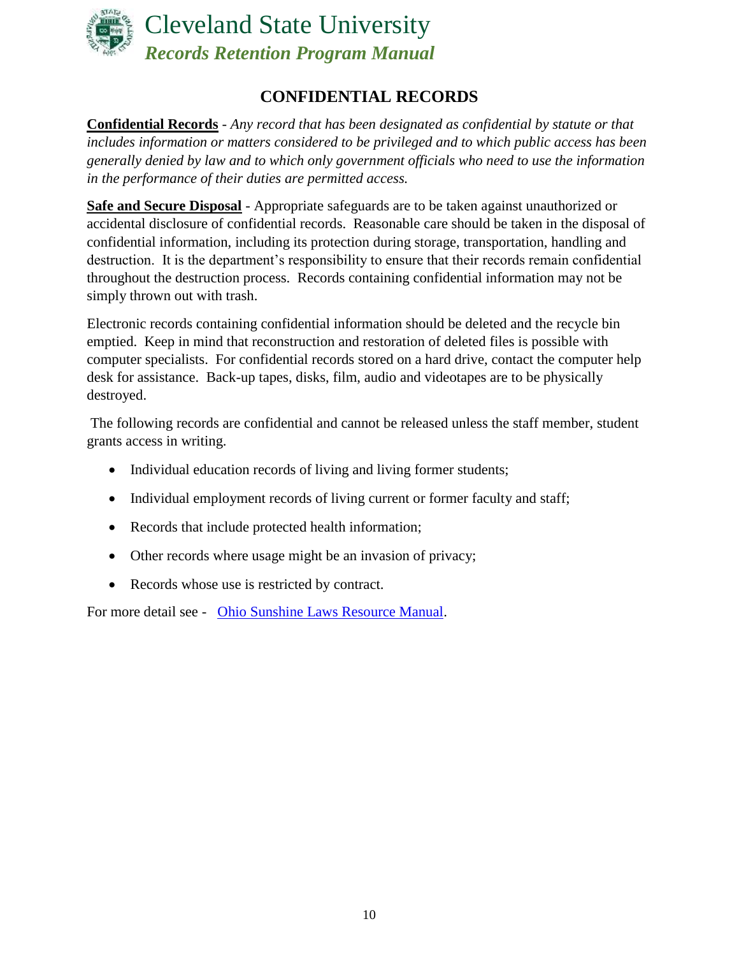

# **CONFIDENTIAL RECORDS**

<span id="page-9-0"></span>**Confidential Records** - *Any record that has been designated as confidential by statute or that includes information or matters considered to be privileged and to which public access has been generally denied by law and to which only government officials who need to use the information in the performance of their duties are permitted access.*

**Safe and Secure Disposal** - Appropriate safeguards are to be taken against unauthorized or accidental disclosure of confidential records. Reasonable care should be taken in the disposal of confidential information, including its protection during storage, transportation, handling and destruction. It is the department's responsibility to ensure that their records remain confidential throughout the destruction process. Records containing confidential information may not be simply thrown out with trash.

Electronic records containing confidential information should be deleted and the recycle bin emptied. Keep in mind that reconstruction and restoration of deleted files is possible with computer specialists. For confidential records stored on a hard drive, contact the computer help desk for assistance. Back-up tapes, disks, film, audio and videotapes are to be physically destroyed.

The following records are confidential and cannot be released unless the staff member, student grants access in writing.

- Individual education records of living and living former students;
- Individual employment records of living current or former faculty and staff;
- Records that include protected health information;
- Other records where usage might be an invasion of privacy;
- Records whose use is restricted by contract.

For more detail see - [Ohio Sunshine Laws Resource Manual.](http://www.ohioattorneygeneral.gov/Files/Publications-Files/Publications-for-Legal/Sunshine-Law-Publications/2015-Sunshine-Laws-Manual.aspx)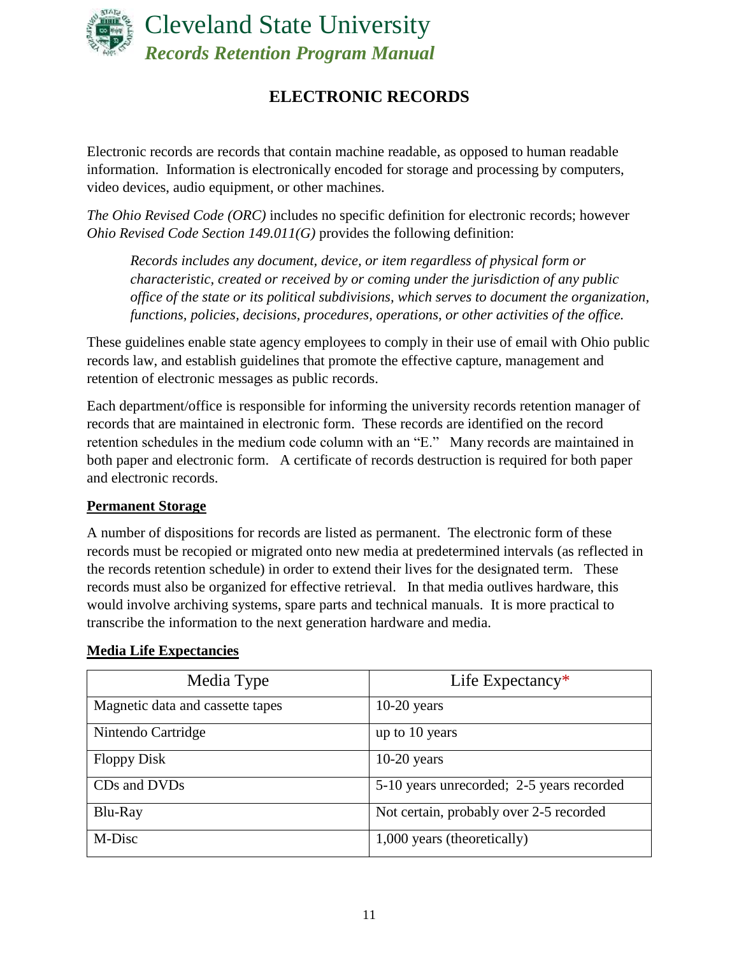

# **ELECTRONIC RECORDS**

<span id="page-10-0"></span>Electronic records are records that contain machine readable, as opposed to human readable information. Information is electronically encoded for storage and processing by computers, video devices, audio equipment, or other machines.

*The Ohio Revised Code (ORC)* includes no specific definition for electronic records; however *Ohio Revised Code Section 149.011(G)* provides the following definition:

*Records includes any document, device, or item regardless of physical form or characteristic, created or received by or coming under the jurisdiction of any public office of the state or its political subdivisions, which serves to document the organization, functions, policies, decisions, procedures, operations, or other activities of the office.*

These guidelines enable state agency employees to comply in their use of email with Ohio public records law, and establish guidelines that promote the effective capture, management and retention of electronic messages as public records.

Each department/office is responsible for informing the university records retention manager of records that are maintained in electronic form. These records are identified on the record retention schedules in the medium code column with an "E." Many records are maintained in both paper and electronic form. A certificate of records destruction is required for both paper and electronic records.

#### **Permanent Storage**

A number of dispositions for records are listed as permanent. The electronic form of these records must be recopied or migrated onto new media at predetermined intervals (as reflected in the records retention schedule) in order to extend their lives for the designated term. These records must also be organized for effective retrieval. In that media outlives hardware, this would involve archiving systems, spare parts and technical manuals. It is more practical to transcribe the information to the next generation hardware and media.

| Media Type                       | Life Expectancy $*$                       |
|----------------------------------|-------------------------------------------|
| Magnetic data and cassette tapes | $10-20$ years                             |
| Nintendo Cartridge               | up to 10 years                            |
| <b>Floppy Disk</b>               | $10-20$ years                             |
| CDs and DVDs                     | 5-10 years unrecorded; 2-5 years recorded |
| Blu-Ray                          | Not certain, probably over 2-5 recorded   |
| M-Disc                           | 1,000 years (theoretically)               |

#### **Media Life Expectancies**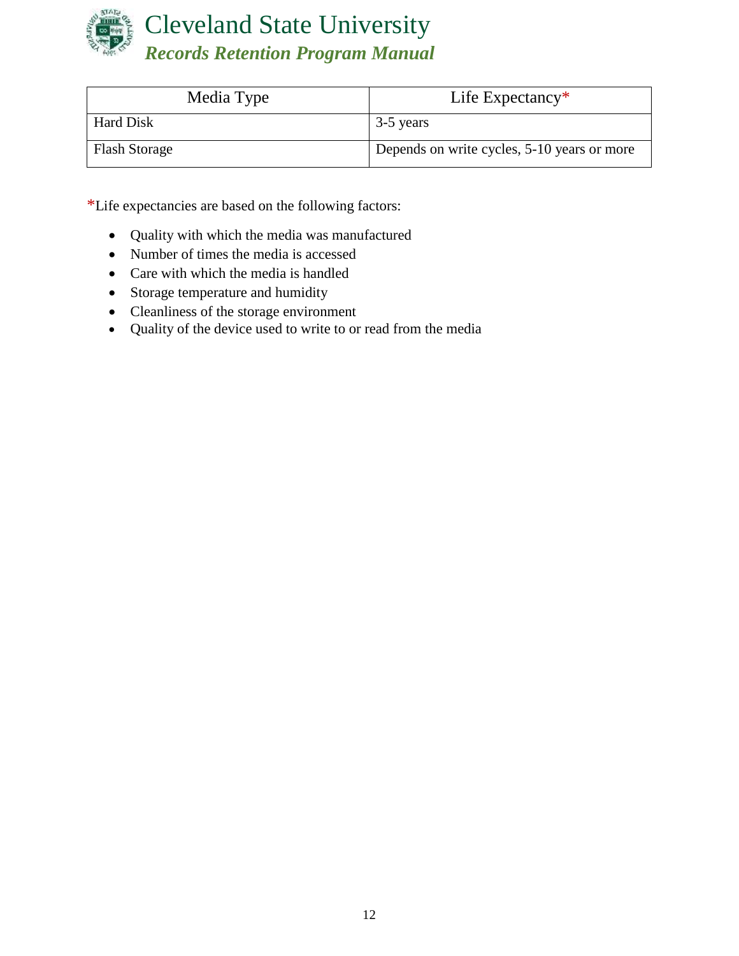

| Media Type           | Life Expectancy $*$                         |
|----------------------|---------------------------------------------|
| Hard Disk            | 3-5 years                                   |
| <b>Flash Storage</b> | Depends on write cycles, 5-10 years or more |

\*Life expectancies are based on the following factors:

- Quality with which the media was manufactured
- Number of times the media is accessed
- Care with which the media is handled
- Storage temperature and humidity
- Cleanliness of the storage environment
- Quality of the device used to write to or read from the media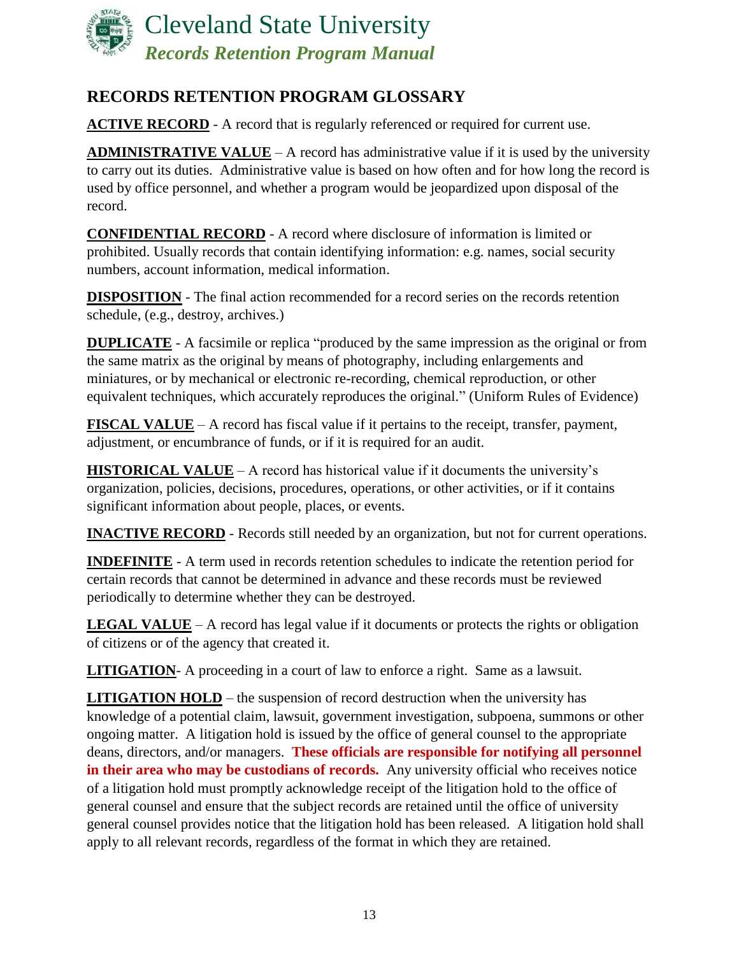

# <span id="page-12-0"></span>**RECORDS RETENTION PROGRAM GLOSSARY**

**ACTIVE RECORD** - A record that is regularly referenced or required for current use.

**ADMINISTRATIVE VALUE** – A record has administrative value if it is used by the university to carry out its duties. Administrative value is based on how often and for how long the record is used by office personnel, and whether a program would be jeopardized upon disposal of the record.

**CONFIDENTIAL RECORD** - A record where disclosure of information is limited or prohibited. Usually records that contain identifying information: e.g. names, social security numbers, account information, medical information.

**DISPOSITION** - The final action recommended for a record series on the records retention schedule, (e.g., destroy, archives.)

**DUPLICATE** - A facsimile or replica "produced by the same impression as the original or from the same matrix as the original by means of photography, including enlargements and miniatures, or by mechanical or electronic re-recording, chemical reproduction, or other equivalent techniques, which accurately reproduces the original." (Uniform Rules of Evidence)

**FISCAL VALUE** – A record has fiscal value if it pertains to the receipt, transfer, payment, adjustment, or encumbrance of funds, or if it is required for an audit.

**HISTORICAL VALUE** – A record has historical value if it documents the university's organization, policies, decisions, procedures, operations, or other activities, or if it contains significant information about people, places, or events.

**INACTIVE RECORD** - Records still needed by an organization, but not for current operations.

**INDEFINITE** - A term used in records retention schedules to indicate the retention period for certain records that cannot be determined in advance and these records must be reviewed periodically to determine whether they can be destroyed.

**LEGAL VALUE** – A record has legal value if it documents or protects the rights or obligation of citizens or of the agency that created it.

**LITIGATION**- A proceeding in a court of law to enforce a right. Same as a lawsuit.

<span id="page-12-1"></span>**LITIGATION HOLD** – the suspension of record destruction when the university has knowledge of a potential claim, lawsuit, government investigation, subpoena, summons or other ongoing matter. A litigation hold is issued by the office of general counsel to the appropriate deans, directors, and/or managers. **These officials are responsible for notifying all personnel**  in their area who may be custodians of records. Any university official who receives notice of a litigation hold must promptly acknowledge receipt of the litigation hold to the office of general counsel and ensure that the subject records are retained until the office of university general counsel provides notice that the litigation hold has been released. A litigation hold shall apply to all relevant records, regardless of the format in which they are retained.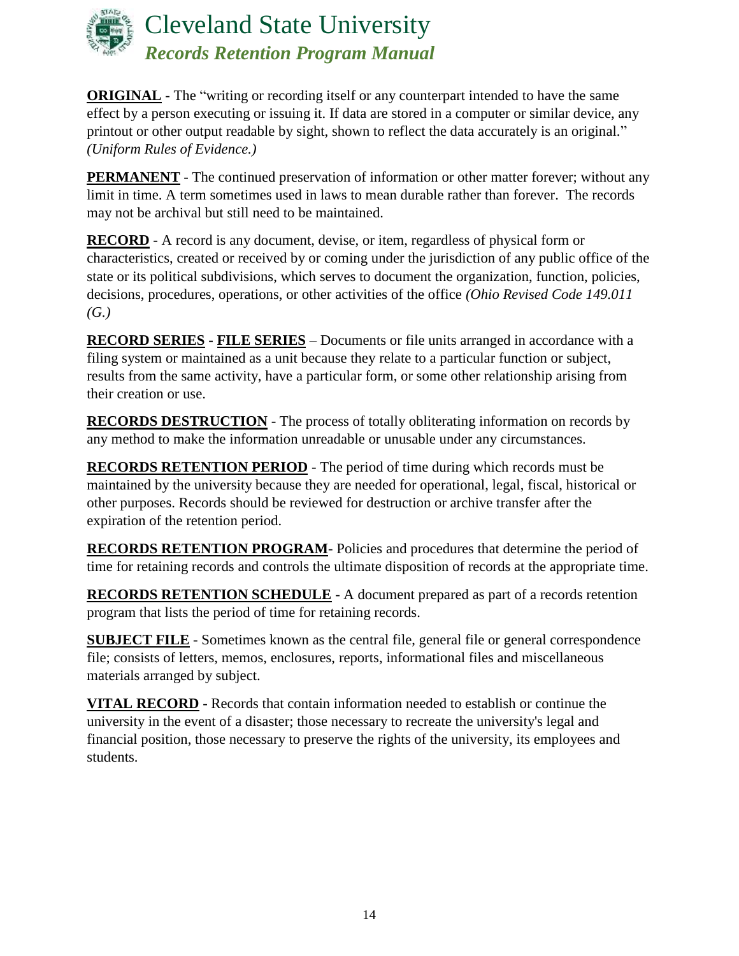

**ORIGINAL** - The "writing or recording itself or any counterpart intended to have the same effect by a person executing or issuing it. If data are stored in a computer or similar device, any printout or other output readable by sight, shown to reflect the data accurately is an original." *(Uniform Rules of Evidence.)*

**PERMANENT** - The continued preservation of information or other matter forever; without any limit in time. A term sometimes used in laws to mean durable rather than forever. The records may not be archival but still need to be maintained.

**RECORD** - A record is any document, devise, or item, regardless of physical form or characteristics, created or received by or coming under the jurisdiction of any public office of the state or its political subdivisions, which serves to document the organization, function, policies, decisions, procedures, operations, or other activities of the office *(Ohio Revised Code 149.011 (G.)*

**RECORD SERIES - FILE SERIES** – Documents or file units arranged in accordance with a filing system or maintained as a unit because they relate to a particular function or subject, results from the same activity, have a particular form, or some other relationship arising from their creation or use.

**RECORDS DESTRUCTION** - The process of totally obliterating information on records by any method to make the information unreadable or unusable under any circumstances.

**RECORDS RETENTION PERIOD** - The period of time during which records must be maintained by the university because they are needed for operational, legal, fiscal, historical or other purposes. Records should be reviewed for destruction or archive transfer after the expiration of the retention period.

**RECORDS RETENTION PROGRAM**- Policies and procedures that determine the period of time for retaining records and controls the ultimate disposition of records at the appropriate time.

**RECORDS RETENTION SCHEDULE** - A document prepared as part of a records retention program that lists the period of time for retaining records.

**SUBJECT FILE** - Sometimes known as the central file, general file or general correspondence file; consists of letters, memos, enclosures, reports, informational files and miscellaneous materials arranged by subject.

**VITAL RECORD** - Records that contain information needed to establish or continue the university in the event of a disaster; those necessary to recreate the university's legal and financial position, those necessary to preserve the rights of the university, its employees and students.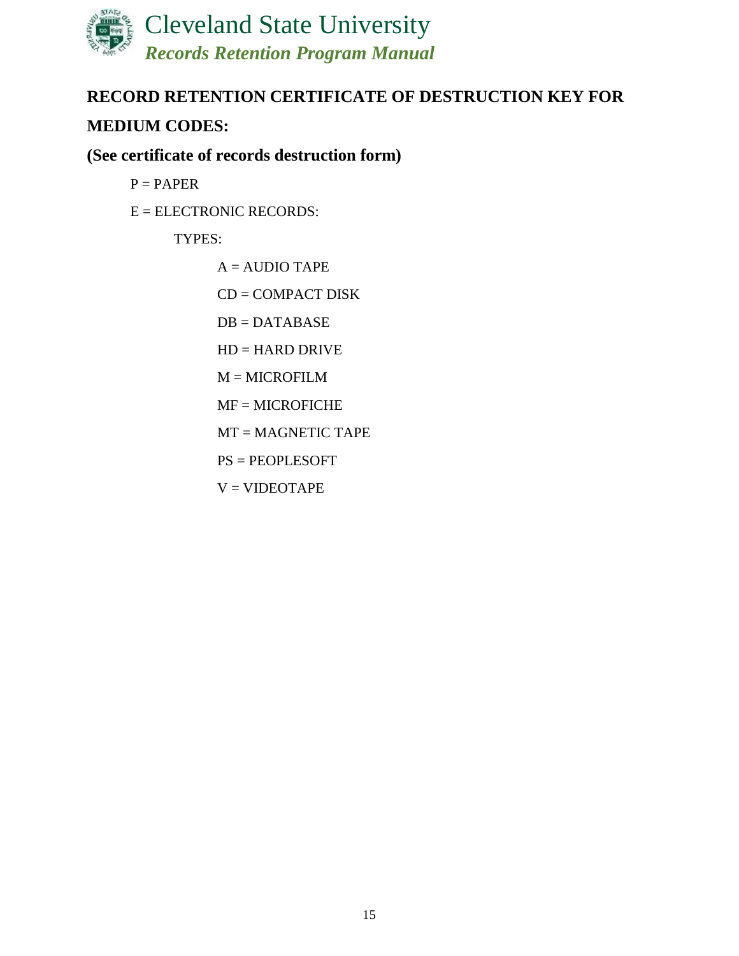

# <span id="page-14-0"></span>**RECORD RETENTION CERTIFICATE OF DESTRUCTION KEY FOR**

# **MEDIUM CODES:**

# **(See certificate of records destruction form)**

 $P = PAPER$ 

E = ELECTRONIC RECORDS:

## TYPES:

- $A = AUDIO$  TAPE
- CD = COMPACT DISK
- $DB = DATABASE$
- HD = HARD DRIVE
- $M = MICROFILM$
- MF = MICROFICHE
- MT = MAGNETIC TAPE
- PS = PEOPLESOFT
- $V = VIDEOTAPE$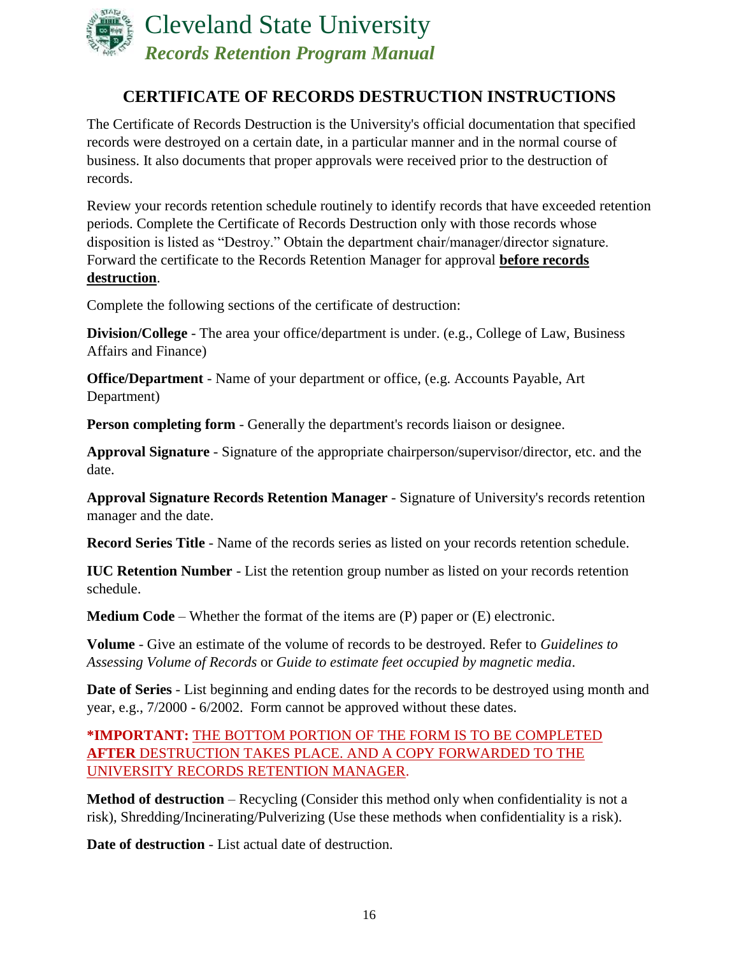

# **CERTIFICATE OF RECORDS DESTRUCTION INSTRUCTIONS**

<span id="page-15-0"></span>The Certificate of Records Destruction is the University's official documentation that specified records were destroyed on a certain date, in a particular manner and in the normal course of business. It also documents that proper approvals were received prior to the destruction of records.

Review your records retention schedule routinely to identify records that have exceeded retention periods. Complete the Certificate of Records Destruction only with those records whose disposition is listed as "Destroy." Obtain the department chair/manager/director signature. Forward the certificate to the Records Retention Manager for approval **before records destruction**.

Complete the following sections of the certificate of destruction:

**Division/College** - The area your office/department is under. (e.g., College of Law, Business Affairs and Finance)

**Office/Department** - Name of your department or office, (e.g. Accounts Payable, Art Department)

**Person completing form** - Generally the department's records liaison or designee.

**Approval Signature** - Signature of the appropriate chairperson/supervisor/director, etc. and the date.

**Approval Signature Records Retention Manager** - Signature of University's records retention manager and the date.

**Record Series Title** - Name of the records series as listed on your records retention schedule.

**IUC Retention Number** - List the retention group number as listed on your records retention schedule.

**Medium Code** – Whether the format of the items are (P) paper or (E) electronic.

**Volume** - Give an estimate of the volume of records to be destroyed. Refer to *Guidelines to Assessing Volume of Records* or *Guide to estimate feet occupied by magnetic media*.

**Date of Series** - List beginning and ending dates for the records to be destroyed using month and year, e.g., 7/2000 - 6/2002. Form cannot be approved without these dates.

**\*IMPORTANT:** THE BOTTOM PORTION OF THE FORM IS TO BE COMPLETED **AFTER** DESTRUCTION TAKES PLACE. AND A COPY FORWARDED TO THE UNIVERSITY RECORDS RETENTION MANAGER.

**Method of destruction** – Recycling (Consider this method only when confidentiality is not a risk), Shredding/Incinerating/Pulverizing (Use these methods when confidentiality is a risk).

**Date of destruction** - List actual date of destruction.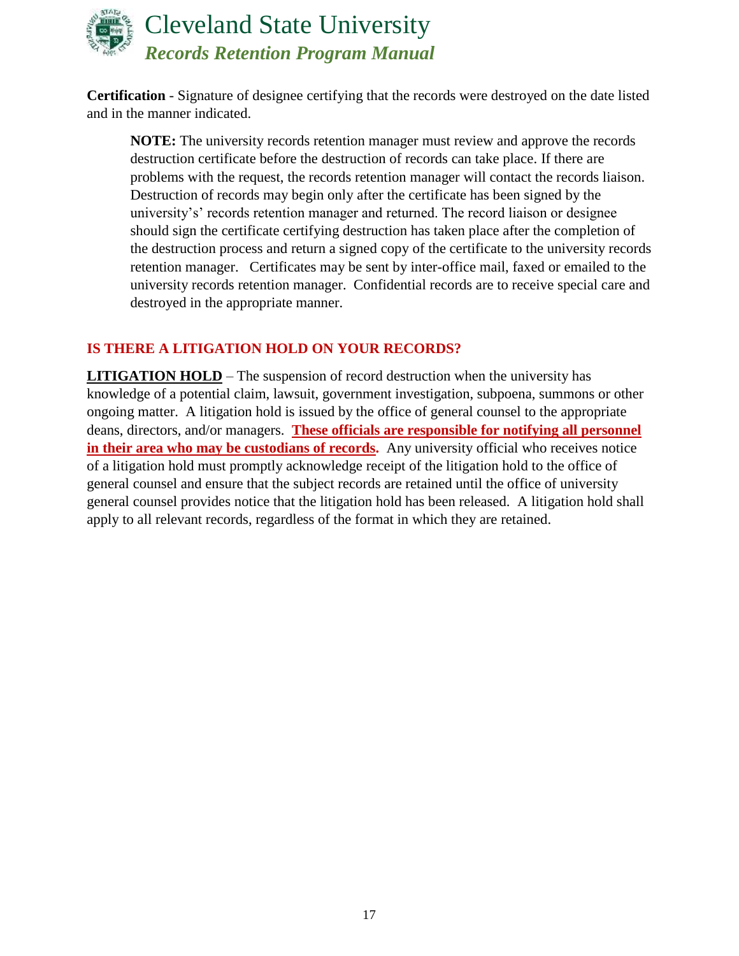

**Certification** - Signature of designee certifying that the records were destroyed on the date listed and in the manner indicated.

**NOTE:** The university records retention manager must review and approve the records destruction certificate before the destruction of records can take place. If there are problems with the request, the records retention manager will contact the records liaison. Destruction of records may begin only after the certificate has been signed by the university's' records retention manager and returned. The record liaison or designee should sign the certificate certifying destruction has taken place after the completion of the destruction process and return a signed copy of the certificate to the university records retention manager. Certificates may be sent by inter-office mail, faxed or emailed to the university records retention manager. Confidential records are to receive special care and destroyed in the appropriate manner.

## **IS THERE A LITIGATION HOLD ON YOUR RECORDS?**

**LITIGATION HOLD** – The suspension of record destruction when the university has knowledge of a potential claim, lawsuit, government investigation, subpoena, summons or other ongoing matter. A litigation hold is issued by the office of general counsel to the appropriate deans, directors, and/or managers. **These officials are responsible for notifying all personnel in their area who may be custodians of records.** Any university official who receives notice of a litigation hold must promptly acknowledge receipt of the litigation hold to the office of general counsel and ensure that the subject records are retained until the office of university general counsel provides notice that the litigation hold has been released. A litigation hold shall apply to all relevant records, regardless of the format in which they are retained.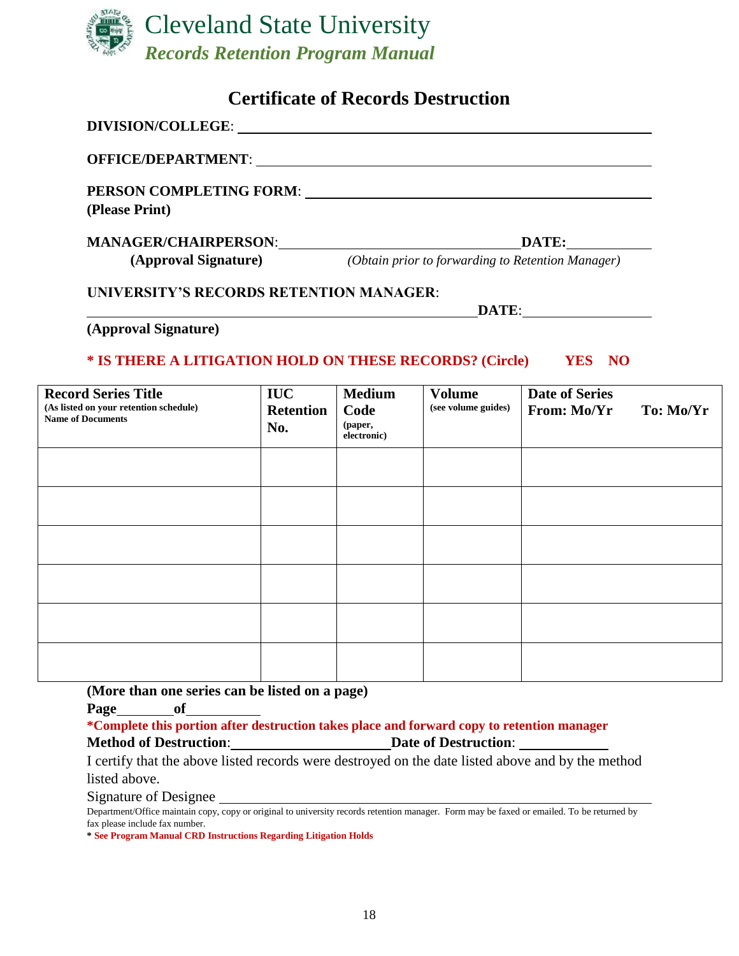

# **Certificate of Records Destruction**

<span id="page-17-0"></span>

| DIVISION/COLLEGE: University of the contract of the contract of the contract of the contract of the contract of the contract of the contract of the contract of the contract of the contract of the contract of the contract o                   |                                       |                                                 |                                                                        |                                      |           |
|--------------------------------------------------------------------------------------------------------------------------------------------------------------------------------------------------------------------------------------------------|---------------------------------------|-------------------------------------------------|------------------------------------------------------------------------|--------------------------------------|-----------|
| OFFICE/DEPARTMENT: University of the contract of the contract of the contract of the contract of the contract of the contract of the contract of the contract of the contract of the contract of the contract of the contract                    |                                       |                                                 |                                                                        |                                      |           |
| PERSON COMPLETING FORM: University of Alberta Complete Assembly of Alberta Complete Assembly of Alberta Complete Assembly of Alberta Complete Assembly of Alberta Complete Assembly of Alberta Complete Assembly of Alberta Co<br>(Please Print) |                                       |                                                 |                                                                        |                                      |           |
| MANAGER/CHAIRPERSON: MANAGER/CHAIRPERSON:                                                                                                                                                                                                        |                                       |                                                 | (Approval Signature) (Obtain prior to forwarding to Retention Manager) | DATE:                                |           |
| <b>UNIVERSITY'S RECORDS RETENTION MANAGER:</b>                                                                                                                                                                                                   |                                       |                                                 |                                                                        | DATE:                                |           |
| (Approval Signature)<br>* IS THERE A LITIGATION HOLD ON THESE RECORDS? (Circle) VES NO                                                                                                                                                           |                                       |                                                 |                                                                        |                                      |           |
| <b>Record Series Title</b><br>(As listed on your retention schedule)<br><b>Name of Documents</b>                                                                                                                                                 | <b>IUC</b><br><b>Retention</b><br>No. | <b>Medium</b><br>Code<br>(paper,<br>electronic) | <b>Volume</b><br>(see volume guides)                                   | <b>Date of Series</b><br>From: Mo/Yr | To: Mo/Yr |
|                                                                                                                                                                                                                                                  |                                       |                                                 |                                                                        |                                      |           |
|                                                                                                                                                                                                                                                  |                                       |                                                 |                                                                        |                                      |           |
|                                                                                                                                                                                                                                                  |                                       |                                                 |                                                                        |                                      |           |
|                                                                                                                                                                                                                                                  |                                       |                                                 |                                                                        |                                      |           |

**(More than one series can be listed on a page)**

**Page of**

**\*Complete this portion after destruction takes place and forward copy to retention manager Method of Destruction: Date of Destruction:** 

I certify that the above listed records were destroyed on the date listed above and by the method listed above.

Signature of Designee

Department/Office maintain copy, copy or original to university records retention manager. Form may be faxed or emailed. To be returned by fax please include fax number.

**\* See Program Manual CRD Instructions Regarding Litigation Holds**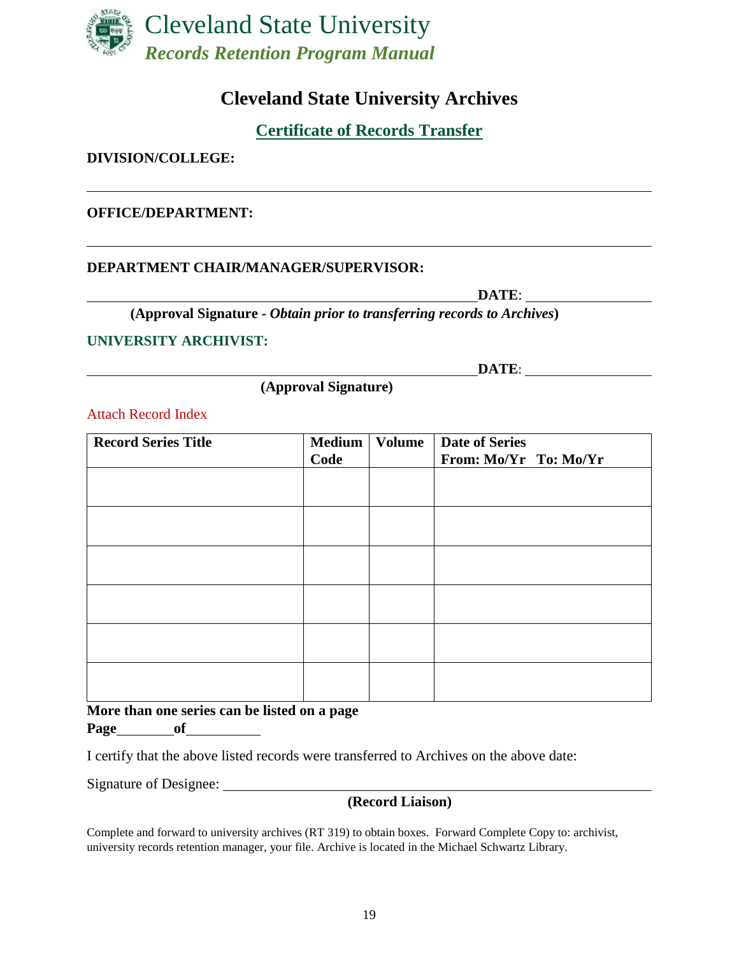

# **Cleveland State University Archives**

**Certificate of Records Transfer** 

### <span id="page-18-0"></span>**DIVISION/COLLEGE:**

### **OFFICE/DEPARTMENT:**

#### **DEPARTMENT CHAIR/MANAGER/SUPERVISOR:**

**DATE**:

**(Approval Signature -** *Obtain prior to transferring records to Archives***)**

#### **UNIVERSITY ARCHIVIST:**

**DATE**:

**(Approval Signature)**

Attach Record Index

| <b>Record Series Title</b> | <b>Medium</b><br>Code | <b>Volume</b> | <b>Date of Series</b><br>From: Mo/Yr To: Mo/Yr |
|----------------------------|-----------------------|---------------|------------------------------------------------|
|                            |                       |               |                                                |
|                            |                       |               |                                                |
|                            |                       |               |                                                |
|                            |                       |               |                                                |
|                            |                       |               |                                                |
|                            |                       |               |                                                |

**More than one series can be listed on a page Page of**

I certify that the above listed records were transferred to Archives on the above date:

Signature of Designee:

### **(Record Liaison)**

Complete and forward to university archives (RT 319) to obtain boxes. Forward Complete Copy to: archivist, university records retention manager, your file. Archive is located in the Michael Schwartz Library.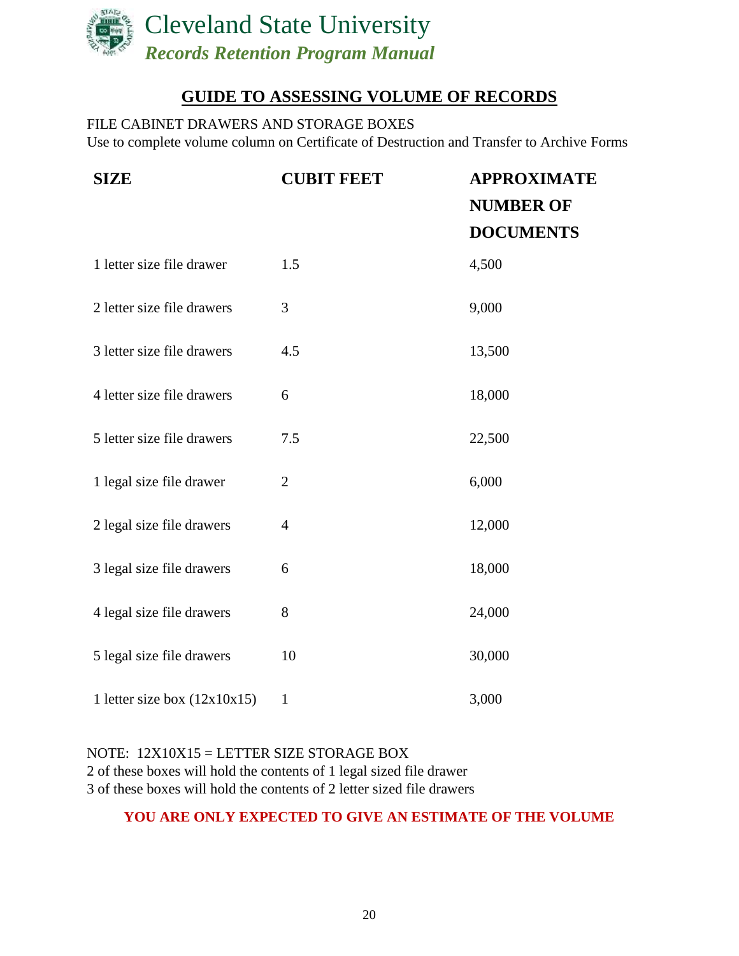

# **GUIDE TO ASSESSING VOLUME OF RECORDS**

<span id="page-19-0"></span>FILE CABINET DRAWERS AND STORAGE BOXES Use to complete volume column on Certificate of Destruction and Transfer to Archive Forms

| <b>SIZE</b>                    | <b>CUBIT FEET</b> | <b>APPROXIMATE</b> |  |
|--------------------------------|-------------------|--------------------|--|
|                                |                   | <b>NUMBER OF</b>   |  |
|                                |                   | <b>DOCUMENTS</b>   |  |
| 1 letter size file drawer      | 1.5               | 4,500              |  |
| 2 letter size file drawers     | 3                 | 9,000              |  |
| 3 letter size file drawers     | 4.5               | 13,500             |  |
| 4 letter size file drawers     | 6                 | 18,000             |  |
| 5 letter size file drawers     | 7.5               | 22,500             |  |
| 1 legal size file drawer       | $\overline{2}$    | 6,000              |  |
| 2 legal size file drawers      | $\overline{4}$    | 12,000             |  |
| 3 legal size file drawers      | 6                 | 18,000             |  |
| 4 legal size file drawers      | 8                 | 24,000             |  |
| 5 legal size file drawers      | 10                | 30,000             |  |
| 1 letter size box $(12x10x15)$ | $\mathbf{1}$      | 3,000              |  |

## NOTE: 12X10X15 = LETTER SIZE STORAGE BOX 2 of these boxes will hold the contents of 1 legal sized file drawer 3 of these boxes will hold the contents of 2 letter sized file drawers

## **YOU ARE ONLY EXPECTED TO GIVE AN ESTIMATE OF THE VOLUME**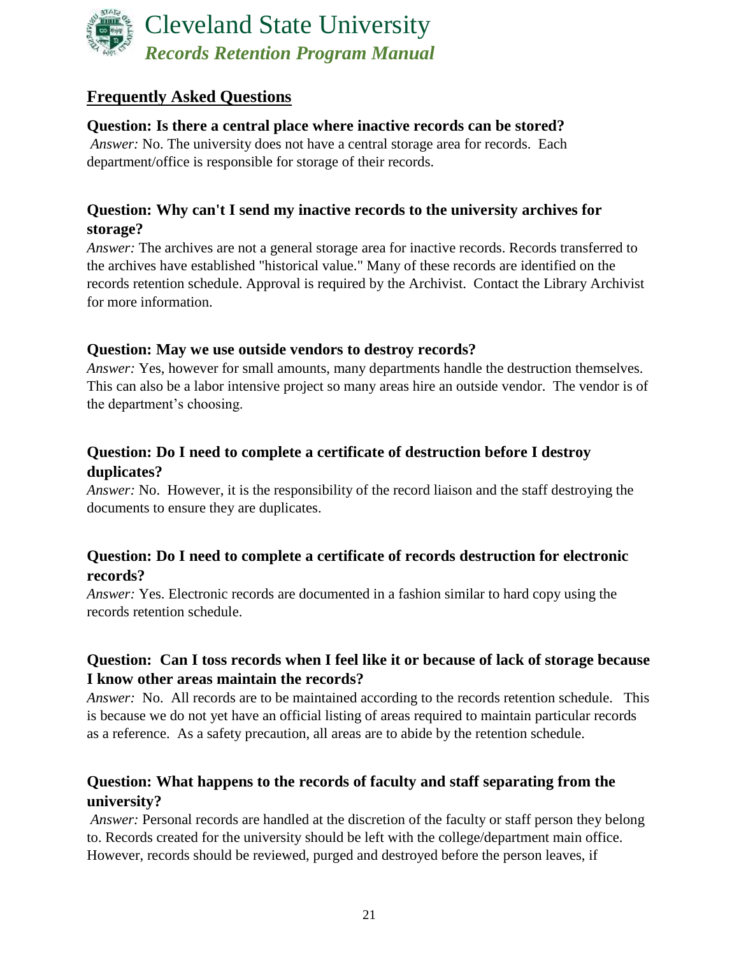

# <span id="page-20-0"></span>**Frequently Asked Questions**

## **Question: Is there a central place where inactive records can be stored?**

*Answer:* No. The university does not have a central storage area for records. Each department/office is responsible for storage of their records.

## **Question: Why can't I send my inactive records to the university archives for storage?**

*Answer:* The archives are not a general storage area for inactive records. Records transferred to the archives have established "historical value." Many of these records are identified on the records retention schedule. Approval is required by the Archivist. Contact the Library Archivist for more information.

## **Question: May we use outside vendors to destroy records?**

*Answer:* Yes, however for small amounts, many departments handle the destruction themselves. This can also be a labor intensive project so many areas hire an outside vendor. The vendor is of the department's choosing.

# **Question: Do I need to complete a certificate of destruction before I destroy duplicates?**

*Answer:* No. However, it is the responsibility of the record liaison and the staff destroying the documents to ensure they are duplicates.

## **Question: Do I need to complete a certificate of records destruction for electronic records?**

*Answer:* Yes. Electronic records are documented in a fashion similar to hard copy using the records retention schedule.

## **Question: Can I toss records when I feel like it or because of lack of storage because I know other areas maintain the records?**

*Answer:* No. All records are to be maintained according to the records retention schedule. This is because we do not yet have an official listing of areas required to maintain particular records as a reference. As a safety precaution, all areas are to abide by the retention schedule.

# **Question: What happens to the records of faculty and staff separating from the university?**

*Answer:* Personal records are handled at the discretion of the faculty or staff person they belong to. Records created for the university should be left with the college/department main office. However, records should be reviewed, purged and destroyed before the person leaves, if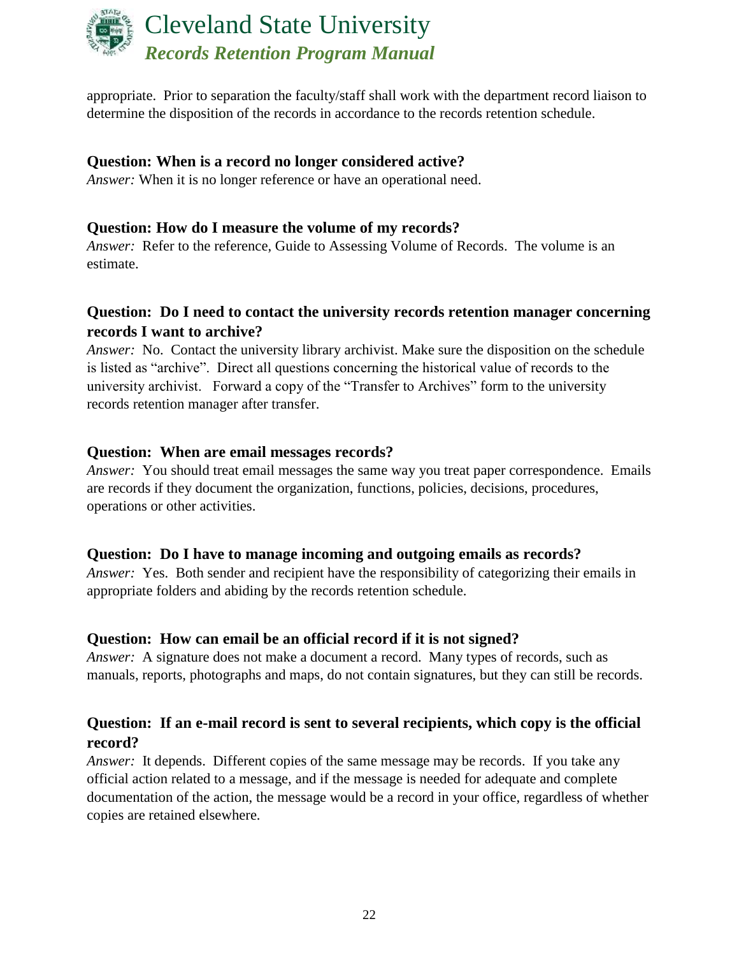

appropriate. Prior to separation the faculty/staff shall work with the department record liaison to determine the disposition of the records in accordance to the records retention schedule.

### **Question: When is a record no longer considered active?**

*Answer:* When it is no longer reference or have an operational need.

## **Question: How do I measure the volume of my records?**

*Answer:* Refer to the reference, Guide to Assessing Volume of Records. The volume is an estimate.

## **Question: Do I need to contact the university records retention manager concerning records I want to archive?**

*Answer:* No. Contact the university library archivist. Make sure the disposition on the schedule is listed as "archive". Direct all questions concerning the historical value of records to the university archivist. Forward a copy of the "Transfer to Archives" form to the university records retention manager after transfer.

### **Question: When are email messages records?**

*Answer:* You should treat email messages the same way you treat paper correspondence. Emails are records if they document the organization, functions, policies, decisions, procedures, operations or other activities.

### **Question: Do I have to manage incoming and outgoing emails as records?**

*Answer:* Yes. Both sender and recipient have the responsibility of categorizing their emails in appropriate folders and abiding by the records retention schedule.

### **Question: How can email be an official record if it is not signed?**

*Answer:* A signature does not make a document a record. Many types of records, such as manuals, reports, photographs and maps, do not contain signatures, but they can still be records.

## **Question: If an e-mail record is sent to several recipients, which copy is the official record?**

*Answer:* It depends. Different copies of the same message may be records. If you take any official action related to a message, and if the message is needed for adequate and complete documentation of the action, the message would be a record in your office, regardless of whether copies are retained elsewhere.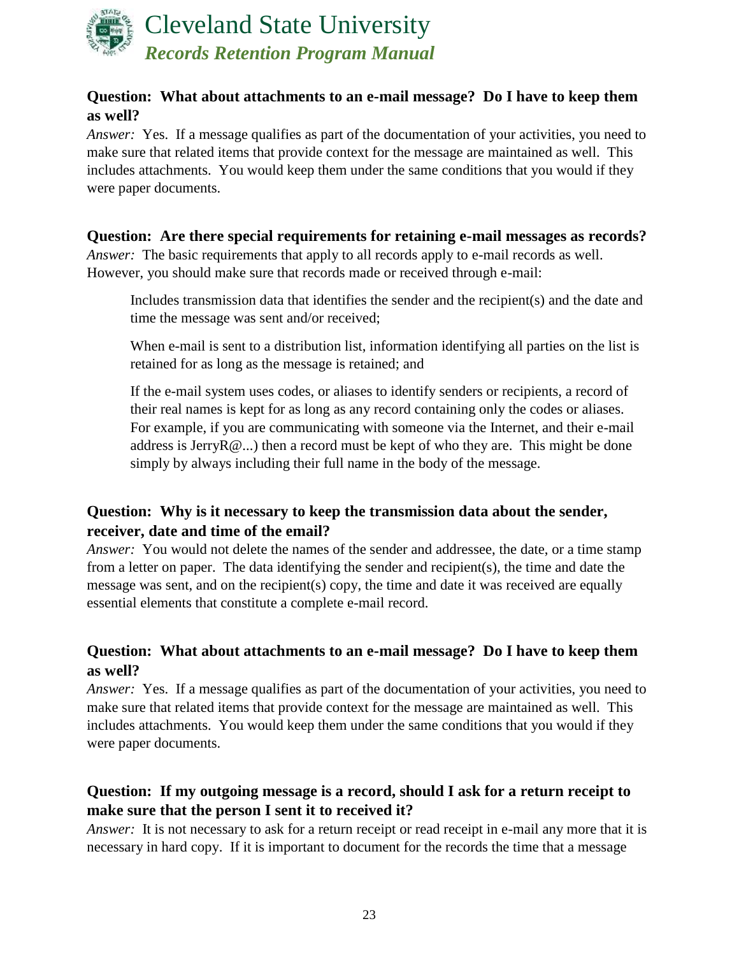

## **Question: What about attachments to an e-mail message? Do I have to keep them as well?**

*Answer:* Yes. If a message qualifies as part of the documentation of your activities, you need to make sure that related items that provide context for the message are maintained as well. This includes attachments. You would keep them under the same conditions that you would if they were paper documents.

# **Question: Are there special requirements for retaining e-mail messages as records?**

*Answer:* The basic requirements that apply to all records apply to e-mail records as well. However, you should make sure that records made or received through e-mail:

Includes transmission data that identifies the sender and the recipient(s) and the date and time the message was sent and/or received;

When e-mail is sent to a distribution list, information identifying all parties on the list is retained for as long as the message is retained; and

If the e-mail system uses codes, or aliases to identify senders or recipients, a record of their real names is kept for as long as any record containing only the codes or aliases. For example, if you are communicating with someone via the Internet, and their e-mail address is JerryR@...) then a record must be kept of who they are. This might be done simply by always including their full name in the body of the message.

# **Question: Why is it necessary to keep the transmission data about the sender, receiver, date and time of the email?**

*Answer:* You would not delete the names of the sender and addressee, the date, or a time stamp from a letter on paper. The data identifying the sender and recipient(s), the time and date the message was sent, and on the recipient(s) copy, the time and date it was received are equally essential elements that constitute a complete e-mail record.

## **Question: What about attachments to an e-mail message? Do I have to keep them as well?**

*Answer:* Yes. If a message qualifies as part of the documentation of your activities, you need to make sure that related items that provide context for the message are maintained as well. This includes attachments. You would keep them under the same conditions that you would if they were paper documents.

# **Question: If my outgoing message is a record, should I ask for a return receipt to make sure that the person I sent it to received it?**

*Answer:* It is not necessary to ask for a return receipt or read receipt in e-mail any more that it is necessary in hard copy. If it is important to document for the records the time that a message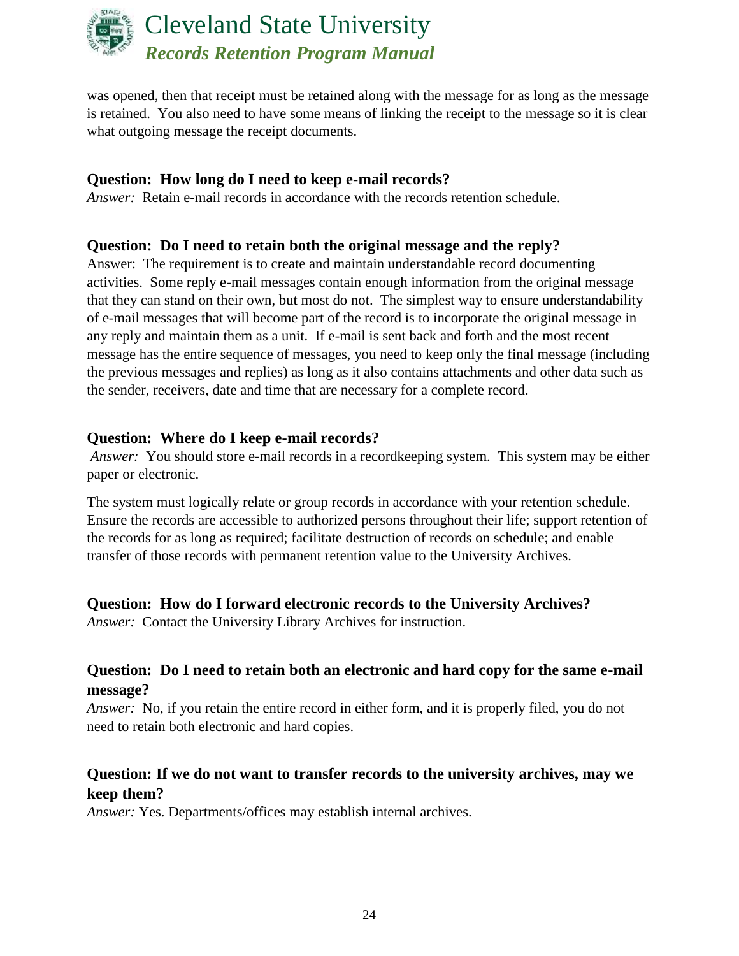

was opened, then that receipt must be retained along with the message for as long as the message is retained. You also need to have some means of linking the receipt to the message so it is clear what outgoing message the receipt documents.

## **Question: How long do I need to keep e-mail records?**

*Answer:* Retain e-mail records in accordance with the records retention schedule.

## **Question: Do I need to retain both the original message and the reply?**

Answer: The requirement is to create and maintain understandable record documenting activities. Some reply e-mail messages contain enough information from the original message that they can stand on their own, but most do not. The simplest way to ensure understandability of e-mail messages that will become part of the record is to incorporate the original message in any reply and maintain them as a unit. If e-mail is sent back and forth and the most recent message has the entire sequence of messages, you need to keep only the final message (including the previous messages and replies) as long as it also contains attachments and other data such as the sender, receivers, date and time that are necessary for a complete record.

### **Question: Where do I keep e-mail records?**

*Answer:* You should store e-mail records in a record keeping system. This system may be either paper or electronic.

The system must logically relate or group records in accordance with your retention schedule. Ensure the records are accessible to authorized persons throughout their life; support retention of the records for as long as required; facilitate destruction of records on schedule; and enable transfer of those records with permanent retention value to the University Archives.

## **Question: How do I forward electronic records to the University Archives?**

*Answer:* Contact the University Library Archives for instruction.

## **Question: Do I need to retain both an electronic and hard copy for the same e-mail message?**

*Answer:* No, if you retain the entire record in either form, and it is properly filed, you do not need to retain both electronic and hard copies.

## **Question: If we do not want to transfer records to the university archives, may we keep them?**

*Answer:* Yes. Departments/offices may establish internal archives.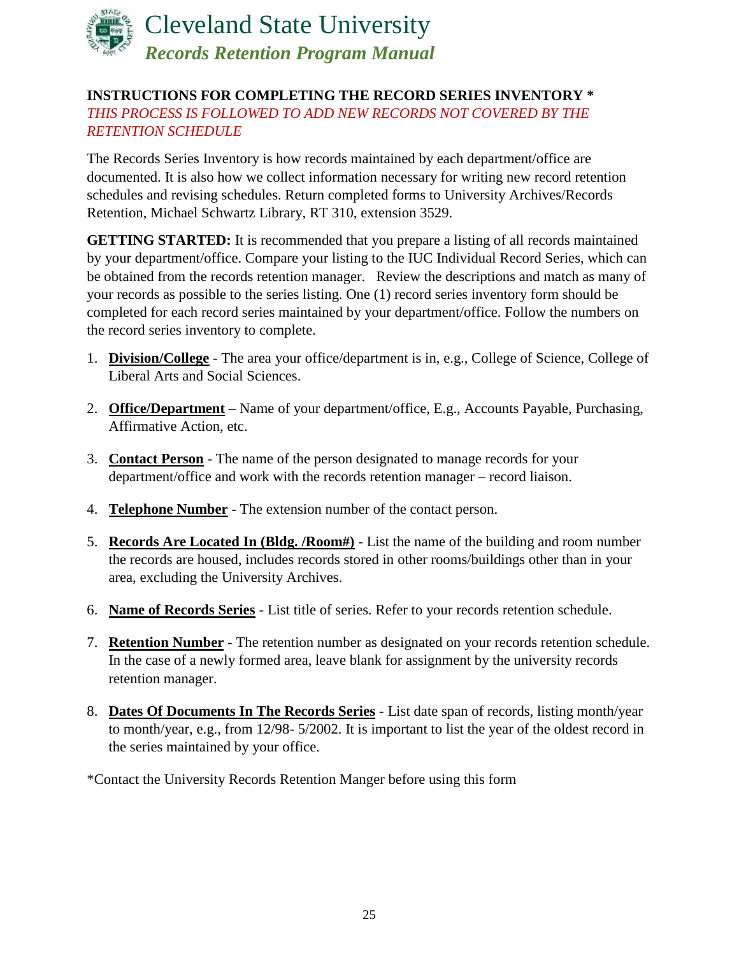

## <span id="page-24-0"></span>**INSTRUCTIONS FOR COMPLETING THE RECORD SERIES INVENTORY \*** *THIS PROCESS IS FOLLOWED TO ADD NEW RECORDS NOT COVERED BY THE RETENTION SCHEDULE*

The Records Series Inventory is how records maintained by each department/office are documented. It is also how we collect information necessary for writing new record retention schedules and revising schedules. Return completed forms to University Archives/Records Retention, Michael Schwartz Library, RT 310, extension 3529.

**GETTING STARTED:** It is recommended that you prepare a listing of all records maintained by your department/office. Compare your listing to the IUC Individual Record Series, which can be obtained from the records retention manager. Review the descriptions and match as many of your records as possible to the series listing. One (1) record series inventory form should be completed for each record series maintained by your department/office. Follow the numbers on the record series inventory to complete.

- 1. **Division/College** The area your office/department is in, e.g., College of Science, College of Liberal Arts and Social Sciences.
- 2. **Office/Department** Name of your department/office, E.g., Accounts Payable, Purchasing, Affirmative Action, etc.
- 3. **Contact Person** The name of the person designated to manage records for your department/office and work with the records retention manager – record liaison.
- 4. **Telephone Number** The extension number of the contact person.
- 5. **Records Are Located In (Bldg. /Room#)** List the name of the building and room number the records are housed, includes records stored in other rooms/buildings other than in your area, excluding the University Archives.
- 6. **Name of Records Series** List title of series. Refer to your records retention schedule.
- 7. **Retention Number** The retention number as designated on your records retention schedule. In the case of a newly formed area, leave blank for assignment by the university records retention manager.
- 8. **Dates Of Documents In The Records Series** List date span of records, listing month/year to month/year, e.g., from 12/98- 5/2002. It is important to list the year of the oldest record in the series maintained by your office.

\*Contact the University Records Retention Manger before using this form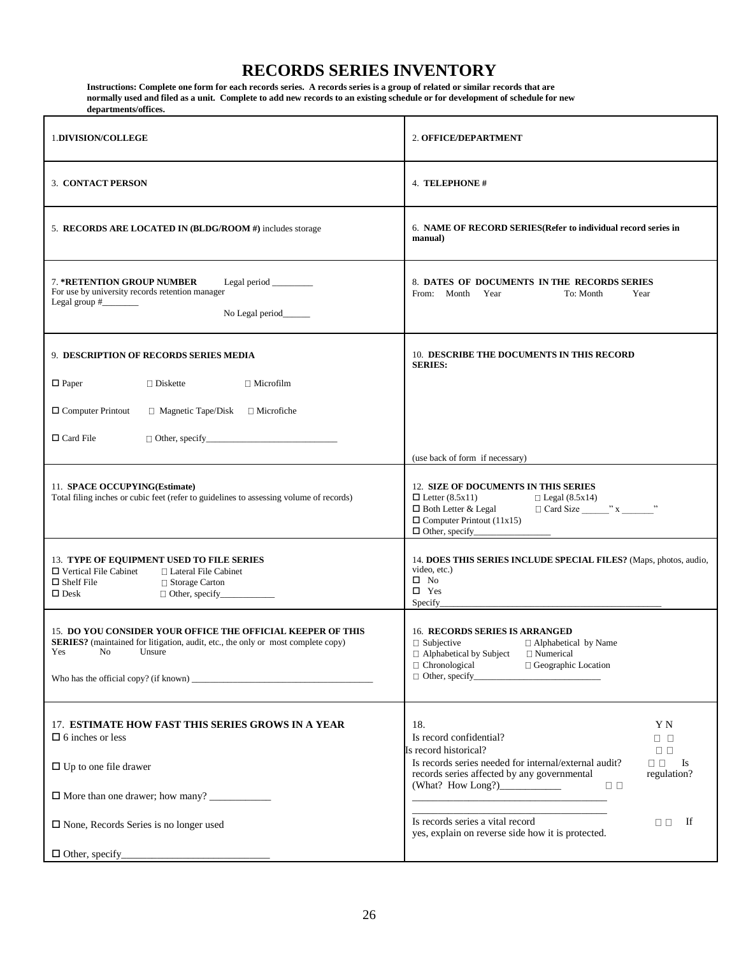# **RECORDS SERIES INVENTORY**

<span id="page-25-0"></span>**Instructions: Complete one form for each records series. A records series is a group of related or similar records that are normally used and filed as a unit. Complete to add new records to an existing schedule or for development of schedule for new departments/offices.** 

| <b>1.DIVISION/COLLEGE</b>                                                                                                                                                      | 2. OFFICE/DEPARTMENT                                                                                                                                                                                                                                                   |
|--------------------------------------------------------------------------------------------------------------------------------------------------------------------------------|------------------------------------------------------------------------------------------------------------------------------------------------------------------------------------------------------------------------------------------------------------------------|
| 3. CONTACT PERSON                                                                                                                                                              | 4. TELEPHONE #                                                                                                                                                                                                                                                         |
| 5. RECORDS ARE LOCATED IN (BLDG/ROOM #) includes storage                                                                                                                       | 6. NAME OF RECORD SERIES (Refer to individual record series in<br>manual)                                                                                                                                                                                              |
| <b>7. *RETENTION GROUP NUMBER</b><br>Legal period _______<br>For use by university records retention manager<br>No Legal period______                                          | 8. DATES OF DOCUMENTS IN THE RECORDS SERIES<br>From: Month<br>Year<br>To: Month<br>Year                                                                                                                                                                                |
| 9. DESCRIPTION OF RECORDS SERIES MEDIA                                                                                                                                         | <b>10. DESCRIBE THE DOCUMENTS IN THIS RECORD</b><br><b>SERIES:</b>                                                                                                                                                                                                     |
| $\Box$ Paper<br>$\Box$ Diskette<br>$\Box$ Microfilm                                                                                                                            |                                                                                                                                                                                                                                                                        |
| $\Box$ Computer Printout<br>$\Box$ Magnetic Tape/Disk $\Box$ Microfiche                                                                                                        |                                                                                                                                                                                                                                                                        |
| $\Box$ Card File                                                                                                                                                               |                                                                                                                                                                                                                                                                        |
| 11. SPACE OCCUPYING(Estimate)<br>Total filing inches or cubic feet (refer to guidelines to assessing volume of records)                                                        | (use back of form if necessary)<br>12. SIZE OF DOCUMENTS IN THIS SERIES<br>$\Box$ Letter (8.5x11)<br>$\Box$ Legal (8.5x14)<br>$\Box$ Card Size $\_\_\_\_\_\$ x $\_\_\_\_\$<br>$\Box$ Both Letter & Legal<br>$\Box$ Computer Printout (11x15)<br>$\Box$ Other, specify_ |
| 13. TYPE OF EQUIPMENT USED TO FILE SERIES<br>$\Box$ Vertical File Cabinet<br>□ Lateral File Cabinet<br>$\Box$ Shelf File<br>□ Storage Carton<br>$\square$ Desk                 | 14. DOES THIS SERIES INCLUDE SPECIAL FILES? (Maps, photos, audio,<br>video, etc.)<br>$\square$ No<br>$\square$ Yes<br>Specify_                                                                                                                                         |
| <b>15. DO YOU CONSIDER YOUR OFFICE THE OFFICIAL KEEPER OF THIS</b><br>SERIES? (maintained for litigation, audit, etc., the only or most complete copy)<br>Yes<br>No.<br>Unsure | <b>16. RECORDS SERIES IS ARRANGED</b><br>$\Box$ Subjective<br>$\Box$ Alphabetical by Name<br>$\Box$ Alphabetical by Subject<br>□ Numerical<br>□ Chronological<br>□ Geographic Location<br>$\Box$ Other, specify                                                        |
| 17. ESTIMATE HOW FAST THIS SERIES GROWS IN A YEAR<br>$\Box$ 6 inches or less                                                                                                   | 18.<br>ΥN<br>Is record confidential?<br>$\Box$ $\Box$<br>Is record historical?<br>$\Box$ $\Box$                                                                                                                                                                        |
| $\Box$ Up to one file drawer                                                                                                                                                   | Is records series needed for internal/external audit?<br>$\Box$ $\Box$<br>$\mathbf{I}$ s<br>records series affected by any governmental<br>regulation?                                                                                                                 |
|                                                                                                                                                                                | $\Box$ $\Box$                                                                                                                                                                                                                                                          |
| $\Box$ None, Records Series is no longer used                                                                                                                                  | Is records series a vital record<br>- If<br>$\Box$<br>yes, explain on reverse side how it is protected.                                                                                                                                                                |
|                                                                                                                                                                                |                                                                                                                                                                                                                                                                        |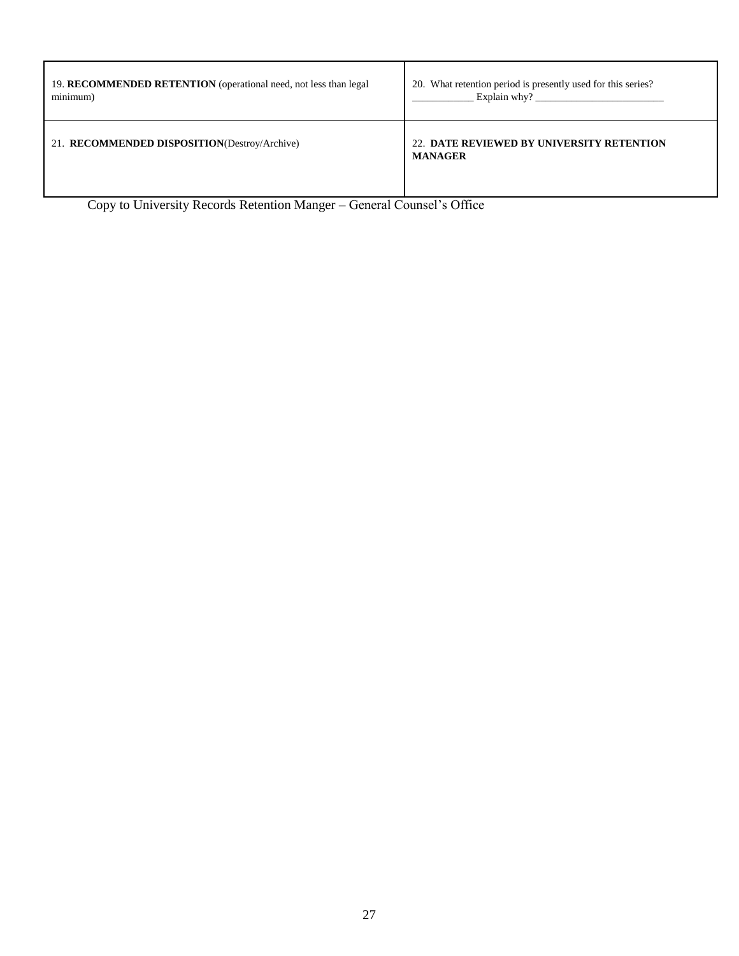| 19. RECOMMENDED RETENTION (operational need, not less than legal) | 20. What retention period is presently used for this series? |
|-------------------------------------------------------------------|--------------------------------------------------------------|
| minimum)                                                          | Explain why?                                                 |
| 21. RECOMMENDED DISPOSITION(Destroy/Archive)                      | 22. DATE REVIEWED BY UNIVERSITY RETENTION<br><b>MANAGER</b>  |

Copy to University Records Retention Manger – General Counsel's Office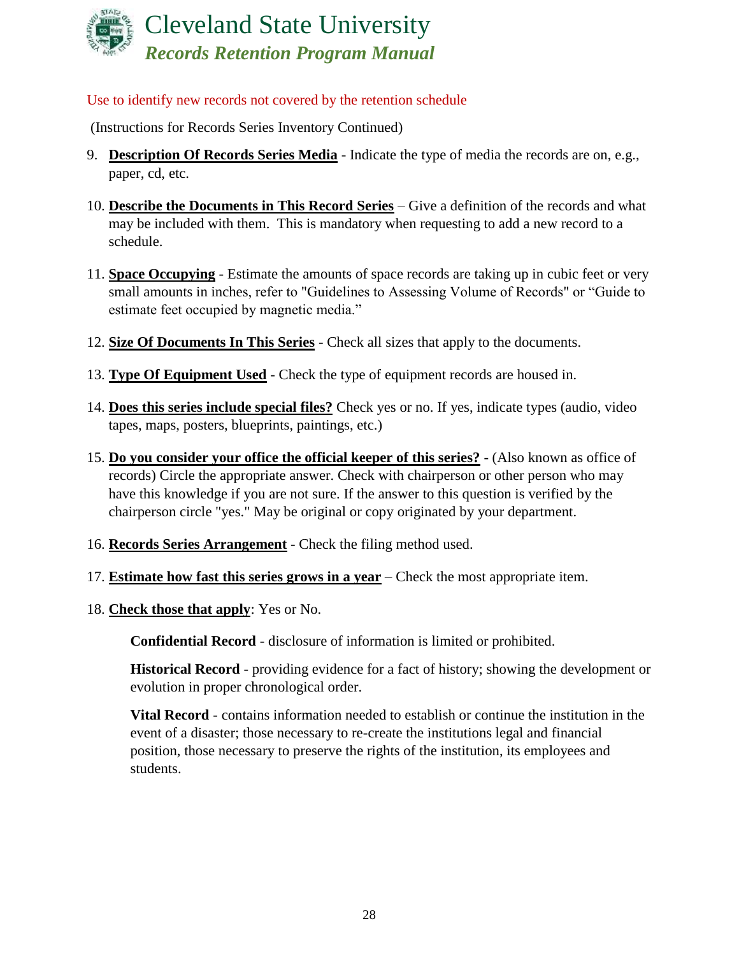

### Use to identify new records not covered by the retention schedule

(Instructions for Records Series Inventory Continued)

- 9. **Description Of Records Series Media** Indicate the type of media the records are on, e.g., paper, cd, etc.
- 10. **Describe the Documents in This Record Series** Give a definition of the records and what may be included with them. This is mandatory when requesting to add a new record to a schedule.
- 11. **Space Occupying** Estimate the amounts of space records are taking up in cubic feet or very small amounts in inches, refer to "Guidelines to Assessing Volume of Records" or "Guide to estimate feet occupied by magnetic media."
- 12. **Size Of Documents In This Series** Check all sizes that apply to the documents.
- 13. **Type Of Equipment Used** Check the type of equipment records are housed in.
- 14. **Does this series include special files?** Check yes or no. If yes, indicate types (audio, video tapes, maps, posters, blueprints, paintings, etc.)
- 15. **Do you consider your office the official keeper of this series?** (Also known as office of records) Circle the appropriate answer. Check with chairperson or other person who may have this knowledge if you are not sure. If the answer to this question is verified by the chairperson circle "yes." May be original or copy originated by your department.
- 16. **Records Series Arrangement** Check the filing method used.
- 17. **Estimate how fast this series grows in a year** Check the most appropriate item.
- 18. **Check those that apply**: Yes or No.

**Confidential Record** - disclosure of information is limited or prohibited.

**Historical Record** - providing evidence for a fact of history; showing the development or evolution in proper chronological order.

**Vital Record** - contains information needed to establish or continue the institution in the event of a disaster; those necessary to re-create the institutions legal and financial position, those necessary to preserve the rights of the institution, its employees and students.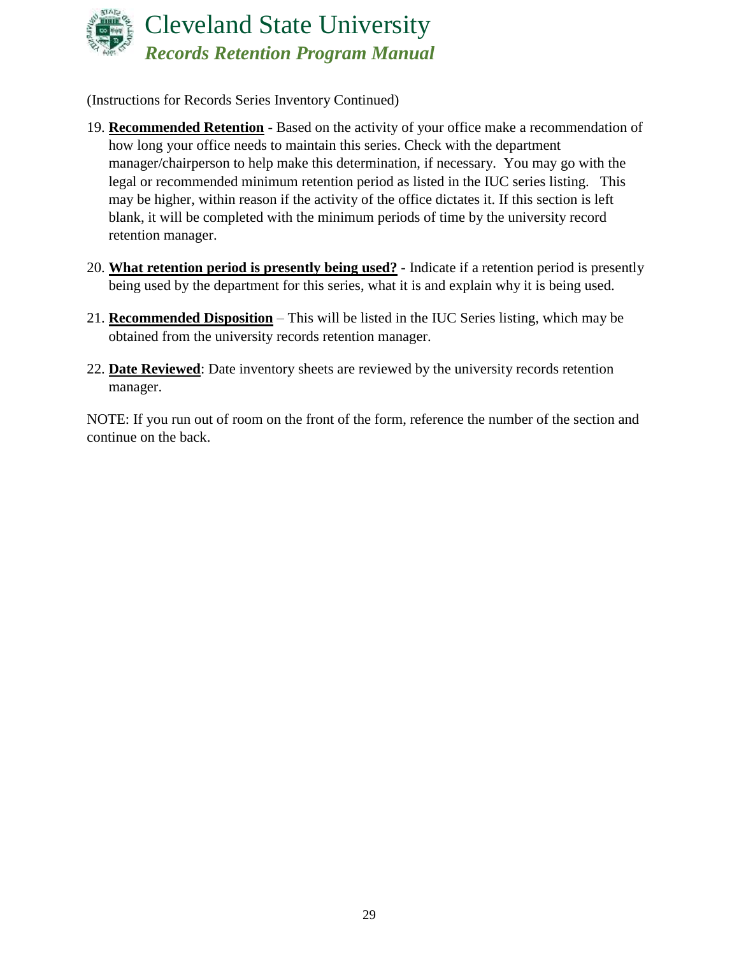

(Instructions for Records Series Inventory Continued)

- 19. **Recommended Retention** Based on the activity of your office make a recommendation of how long your office needs to maintain this series. Check with the department manager/chairperson to help make this determination, if necessary. You may go with the legal or recommended minimum retention period as listed in the IUC series listing. This may be higher, within reason if the activity of the office dictates it. If this section is left blank, it will be completed with the minimum periods of time by the university record retention manager.
- 20. **What retention period is presently being used?** Indicate if a retention period is presently being used by the department for this series, what it is and explain why it is being used.
- 21. **Recommended Disposition** This will be listed in the IUC Series listing, which may be obtained from the university records retention manager.
- 22. **Date Reviewed**: Date inventory sheets are reviewed by the university records retention manager.

NOTE: If you run out of room on the front of the form, reference the number of the section and continue on the back.